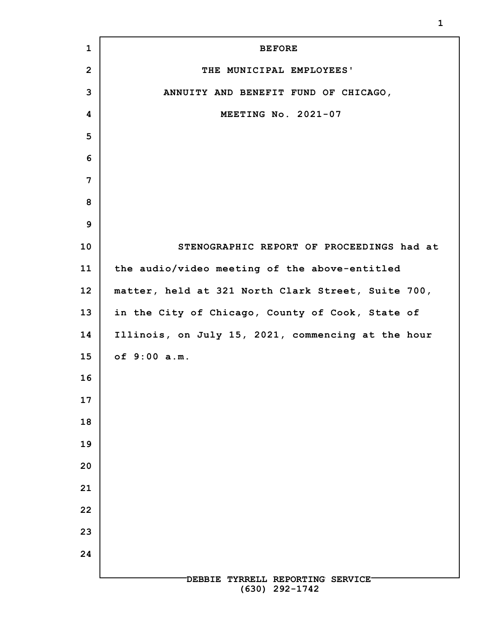| $\mathbf{1}$    | <b>BEFORE</b>                                        |
|-----------------|------------------------------------------------------|
| $\overline{2}$  | THE MUNICIPAL EMPLOYEES'                             |
| 3               | ANNUITY AND BENEFIT FUND OF CHICAGO,                 |
| 4               | MEETING No. 2021-07                                  |
| 5               |                                                      |
| 6               |                                                      |
| 7               |                                                      |
| 8               |                                                      |
| 9               |                                                      |
| 10              | STENOGRAPHIC REPORT OF PROCEEDINGS had at            |
| 11              | the audio/video meeting of the above-entitled        |
| 12 <sub>2</sub> | matter, held at 321 North Clark Street, Suite 700,   |
| 13              | in the City of Chicago, County of Cook, State of     |
| 14              | Illinois, on July 15, 2021, commencing at the hour   |
| 15              | of 9:00 a.m.                                         |
| 16              |                                                      |
| 17              |                                                      |
| 18              |                                                      |
| 19              |                                                      |
| 20              |                                                      |
| 21              |                                                      |
| 22              |                                                      |
| 23              |                                                      |
| 24              |                                                      |
|                 | DEBBIE TYRRELL REPORTING SERVICE<br>$(630)$ 292-1742 |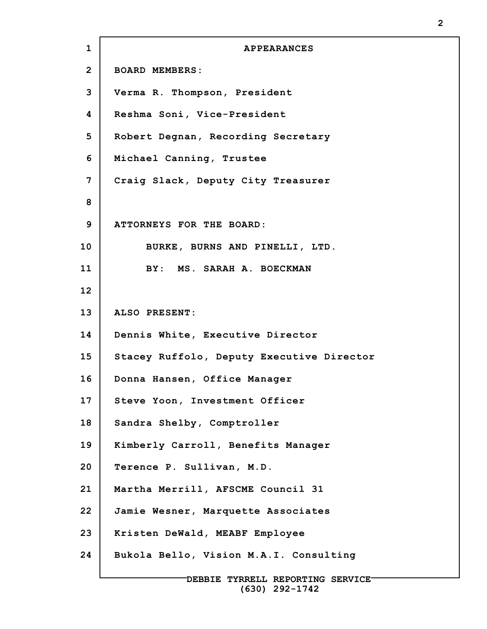| $\mathbf 1$  | <b>APPEARANCES</b>                        |
|--------------|-------------------------------------------|
| $\mathbf{2}$ | <b>BOARD MEMBERS:</b>                     |
| 3            | Verma R. Thompson, President              |
| 4            | Reshma Soni, Vice-President               |
| 5            | Robert Degnan, Recording Secretary        |
| 6            | Michael Canning, Trustee                  |
| 7            | Craiq Slack, Deputy City Treasurer        |
| 8            |                                           |
| 9            | ATTORNEYS FOR THE BOARD:                  |
| 10           | BURKE, BURNS AND PINELLI, LTD.            |
| 11           | BY: MS. SARAH A. BOECKMAN                 |
| 12           |                                           |
| 13           | ALSO PRESENT:                             |
| 14           | Dennis White, Executive Director          |
| 15           | Stacey Ruffolo, Deputy Executive Director |
| 16           | Donna Hansen, Office Manager              |
| 17           | Steve Yoon, Investment Officer            |
| 18           | Sandra Shelby, Comptroller                |
| 19           | Kimberly Carroll, Benefits Manager        |
| 20           | Terence P. Sullivan, M.D.                 |
| 21           | Martha Merrill, AFSCME Council 31         |
| 22           | Jamie Wesner, Marquette Associates        |
| 23           | Kristen DeWald, MEABF Employee            |
| 24           | Bukola Bello, Vision M.A.I. Consulting    |
|              |                                           |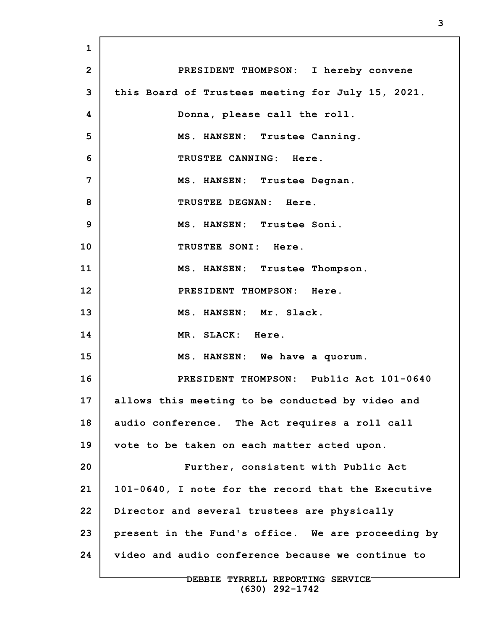**1 2 3 4 5 6 7 8 9 10 11 12 13 14 15 16 17 18 19 20 21 22 23 24 DEBBIE TYRRELL REPORTING SERVICE PRESIDENT THOMPSON: I hereby convene this Board of Trustees meeting for July 15, 2021. Donna, please call the roll. MS. HANSEN: Trustee Canning. TRUSTEE CANNING: Here. MS. HANSEN: Trustee Degnan. TRUSTEE DEGNAN: Here. MS. HANSEN: Trustee Soni. TRUSTEE SONI: Here. MS. HANSEN: Trustee Thompson. PRESIDENT THOMPSON: Here. MS. HANSEN: Mr. Slack. MR. SLACK: Here. MS. HANSEN: We have a quorum. PRESIDENT THOMPSON: Public Act 101-0640 allows this meeting to be conducted by video and audio conference. The Act requires a roll call vote to be taken on each matter acted upon. Further, consistent with Public Act 101-0640, I note for the record that the Executive Director and several trustees are physically present in the Fund's office. We are proceeding by video and audio conference because we continue to**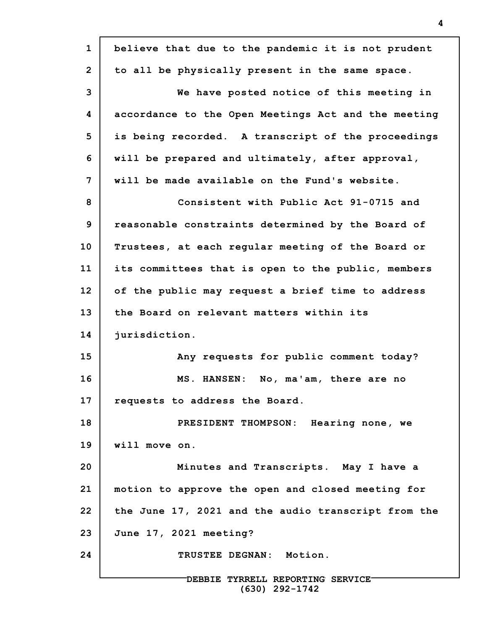| $\mathbf{1}$   | believe that due to the pandemic it is not prudent  |
|----------------|-----------------------------------------------------|
| $\overline{2}$ | to all be physically present in the same space.     |
| 3              | We have posted notice of this meeting in            |
| 4              | accordance to the Open Meetings Act and the meeting |
| 5              | is being recorded. A transcript of the proceedings  |
| 6              | will be prepared and ultimately, after approval,    |
| 7              | will be made available on the Fund's website.       |
| 8              | Consistent with Public Act 91-0715 and              |
| 9              | reasonable constraints determined by the Board of   |
| 10             | Trustees, at each regular meeting of the Board or   |
| 11             | its committees that is open to the public, members  |
| 12             | of the public may request a brief time to address   |
| 13             | the Board on relevant matters within its            |
| 14             | jurisdiction.                                       |
| 15             | Any requests for public comment today?              |
| 16             | MS. HANSEN: No, ma'am, there are no                 |
| 17             | requests to address the Board.                      |
| 18             | PRESIDENT THOMPSON: Hearing none, we                |
| 19             | will move on.                                       |
| 20             | Minutes and Transcripts. May I have a               |
| 21             | motion to approve the open and closed meeting for   |
| 22             | the June 17, 2021 and the audio transcript from the |
| 23             | June 17, 2021 meeting?                              |
| 24             | TRUSTEE DEGNAN: Motion.                             |
|                | DEBBIE TYRRELL REPORTING SERVICE-                   |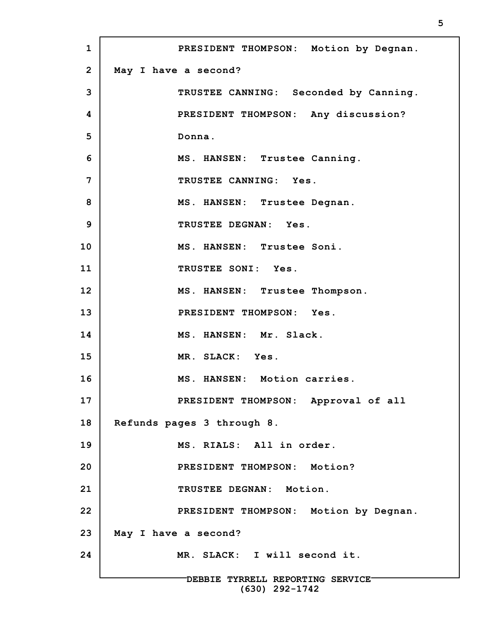**1 2 3 4 5 6 7 8 9 10 11 12 13 14 15 16 17 18 19 20 21 22 23 24 DEBBIE TYRRELL REPORTING SERVICE PRESIDENT THOMPSON: Motion by Degnan. May I have a second? TRUSTEE CANNING: Seconded by Canning. PRESIDENT THOMPSON: Any discussion? Donna. MS. HANSEN: Trustee Canning. TRUSTEE CANNING: Yes. MS. HANSEN: Trustee Degnan. TRUSTEE DEGNAN: Yes. MS. HANSEN: Trustee Soni. TRUSTEE SONI: Yes. MS. HANSEN: Trustee Thompson. PRESIDENT THOMPSON: Yes. MS. HANSEN: Mr. Slack. MR. SLACK: Yes. MS. HANSEN: Motion carries. PRESIDENT THOMPSON: Approval of all Refunds pages 3 through 8. MS. RIALS: All in order. PRESIDENT THOMPSON: Motion? TRUSTEE DEGNAN: Motion. PRESIDENT THOMPSON: Motion by Degnan. May I have a second? MR. SLACK: I will second it.**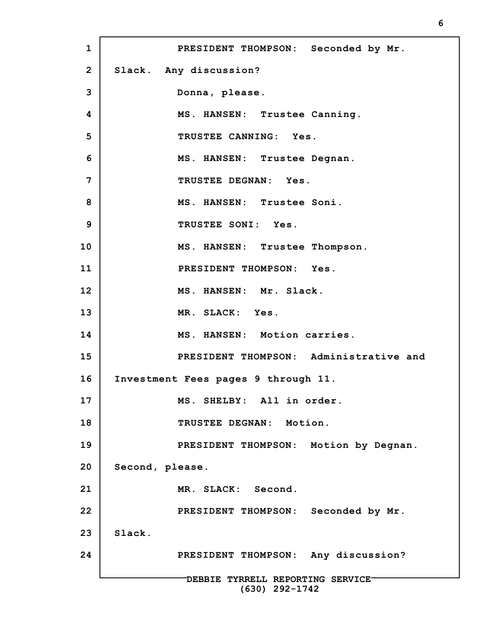**1 2 3 4 5 6 7 8 9 10 11 12 13 14 15 16 17 18 19 20 21 22 23 24 DEBBIE TYRRELL REPORTING SERVICE (630) 292-1742 PRESIDENT THOMPSON: Seconded by Mr. Slack. Any discussion? Donna, please. MS. HANSEN: Trustee Canning. TRUSTEE CANNING: Yes. MS. HANSEN: Trustee Degnan. TRUSTEE DEGNAN: Yes. MS. HANSEN: Trustee Soni. TRUSTEE SONI: Yes. MS. HANSEN: Trustee Thompson. PRESIDENT THOMPSON: Yes. MS. HANSEN: Mr. Slack. MR. SLACK: Yes. MS. HANSEN: Motion carries. PRESIDENT THOMPSON: Administrative and Investment Fees pages 9 through 11. MS. SHELBY: All in order. TRUSTEE DEGNAN: Motion. PRESIDENT THOMPSON: Motion by Degnan. Second, please. MR. SLACK: Second. PRESIDENT THOMPSON: Seconded by Mr. Slack. PRESIDENT THOMPSON: Any discussion?**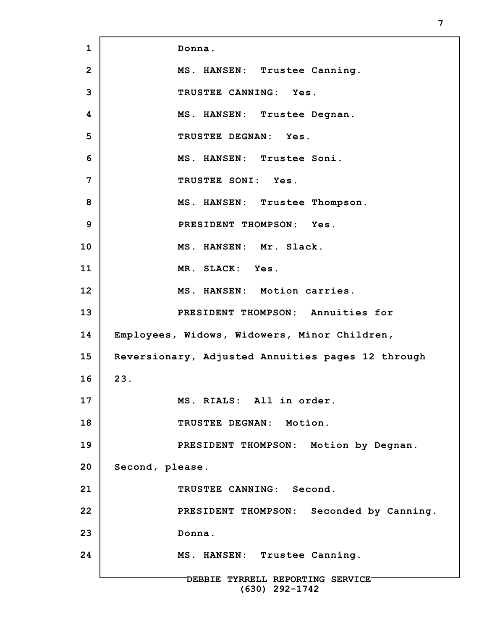**1 2 3 4 5 6 7 8 9 10 11 12 13 14 15 16 17 18 19 20 21 22 23 24 DEBBIE TYRRELL REPORTING SERVICE (630) 292-1742 Donna. MS. HANSEN: Trustee Canning. TRUSTEE CANNING: Yes. MS. HANSEN: Trustee Degnan. TRUSTEE DEGNAN: Yes. MS. HANSEN: Trustee Soni. TRUSTEE SONI: Yes. MS. HANSEN: Trustee Thompson. PRESIDENT THOMPSON: Yes. MS. HANSEN: Mr. Slack. MR. SLACK: Yes. MS. HANSEN: Motion carries. PRESIDENT THOMPSON: Annuities for Employees, Widows, Widowers, Minor Children, Reversionary, Adjusted Annuities pages 12 through 23. MS. RIALS: All in order. TRUSTEE DEGNAN: Motion. PRESIDENT THOMPSON: Motion by Degnan. Second, please. TRUSTEE CANNING: Second. PRESIDENT THOMPSON: Seconded by Canning. Donna. MS. HANSEN: Trustee Canning.**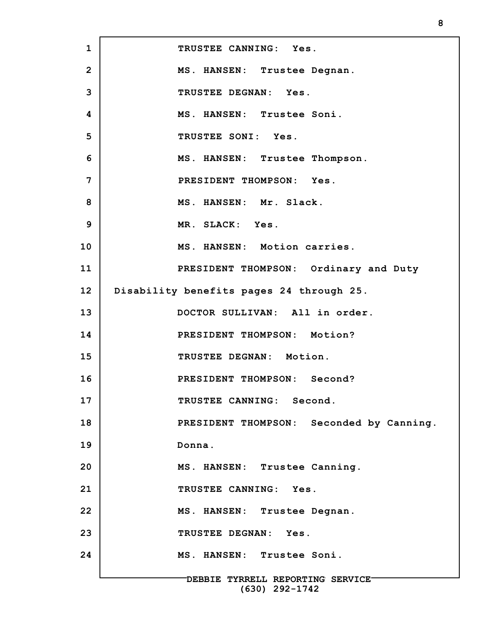**1 2 3 4 5 6 7 8 9 10 11 12 13 14 15 16 17 18 19 20 21 22 23 24 DEBBIE TYRRELL REPORTING SERVICE TRUSTEE CANNING: Yes. MS. HANSEN: Trustee Degnan. TRUSTEE DEGNAN: Yes. MS. HANSEN: Trustee Soni. TRUSTEE SONI: Yes. MS. HANSEN: Trustee Thompson. PRESIDENT THOMPSON: Yes. MS. HANSEN: Mr. Slack. MR. SLACK: Yes. MS. HANSEN: Motion carries. PRESIDENT THOMPSON: Ordinary and Duty Disability benefits pages 24 through 25. DOCTOR SULLIVAN: All in order. PRESIDENT THOMPSON: Motion? TRUSTEE DEGNAN: Motion. PRESIDENT THOMPSON: Second? TRUSTEE CANNING: Second. PRESIDENT THOMPSON: Seconded by Canning. Donna. MS. HANSEN: Trustee Canning. TRUSTEE CANNING: Yes. MS. HANSEN: Trustee Degnan. TRUSTEE DEGNAN: Yes. MS. HANSEN: Trustee Soni.**

**(630) 292-1742**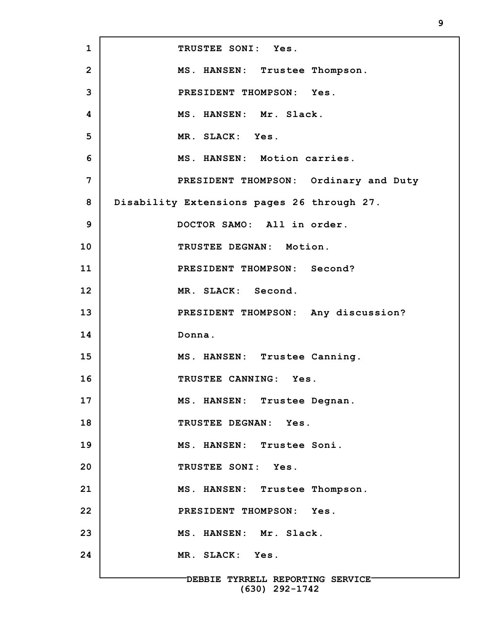**1 2 3 4 5 6 7 8 9 10 11 12 13 14 15 16 17 18 19 20 21 22 23 24 DEBBIE TYRRELL REPORTING SERVICE TRUSTEE SONI: Yes. MS. HANSEN: Trustee Thompson. PRESIDENT THOMPSON: Yes. MS. HANSEN: Mr. Slack. MR. SLACK: Yes. MS. HANSEN: Motion carries. PRESIDENT THOMPSON: Ordinary and Duty Disability Extensions pages 26 through 27. DOCTOR SAMO: All in order. TRUSTEE DEGNAN: Motion. PRESIDENT THOMPSON: Second? MR. SLACK: Second. PRESIDENT THOMPSON: Any discussion? Donna. MS. HANSEN: Trustee Canning. TRUSTEE CANNING: Yes. MS. HANSEN: Trustee Degnan. TRUSTEE DEGNAN: Yes. MS. HANSEN: Trustee Soni. TRUSTEE SONI: Yes. MS. HANSEN: Trustee Thompson. PRESIDENT THOMPSON: Yes. MS. HANSEN: Mr. Slack. MR. SLACK: Yes.**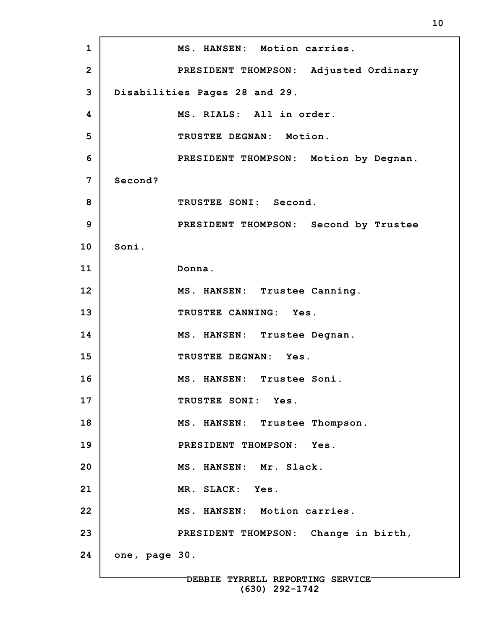**1 2 3 4 5 6 7 8 9 10 11 12 13 14 15 16 17 18 19 20 21 22 23 24 MS. HANSEN: Motion carries. PRESIDENT THOMPSON: Adjusted Ordinary Disabilities Pages 28 and 29. MS. RIALS: All in order. TRUSTEE DEGNAN: Motion. PRESIDENT THOMPSON: Motion by Degnan. Second? TRUSTEE SONI: Second. PRESIDENT THOMPSON: Second by Trustee Soni. Donna. MS. HANSEN: Trustee Canning. TRUSTEE CANNING: Yes. MS. HANSEN: Trustee Degnan. TRUSTEE DEGNAN: Yes. MS. HANSEN: Trustee Soni. TRUSTEE SONI: Yes. MS. HANSEN: Trustee Thompson. PRESIDENT THOMPSON: Yes. MS. HANSEN: Mr. Slack. MR. SLACK: Yes. MS. HANSEN: Motion carries. PRESIDENT THOMPSON: Change in birth, one, page 30.**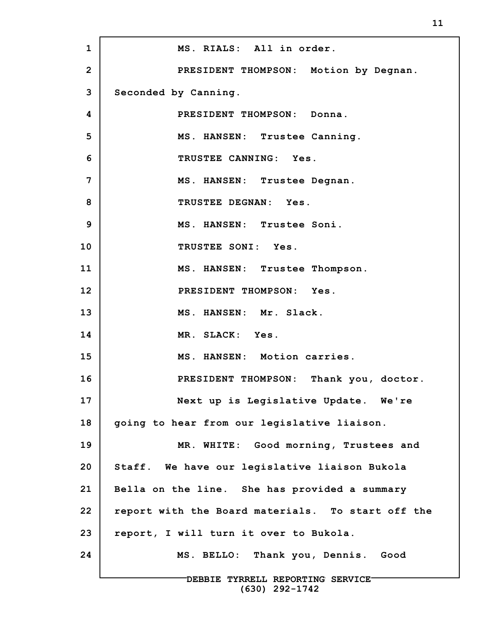| $\mathbf 1$    | MS. RIALS: All in order.                          |
|----------------|---------------------------------------------------|
| $\overline{2}$ | PRESIDENT THOMPSON: Motion by Degnan.             |
| 3              | Seconded by Canning.                              |
| 4              | PRESIDENT THOMPSON: Donna.                        |
| 5              | MS. HANSEN: Trustee Canning.                      |
| 6              | TRUSTEE CANNING: Yes.                             |
| 7              | MS. HANSEN: Trustee Degnan.                       |
| 8              | TRUSTEE DEGNAN: Yes.                              |
| 9              | MS. HANSEN: Trustee Soni.                         |
| 10             | TRUSTEE SONI: Yes.                                |
| 11             | MS. HANSEN: Trustee Thompson.                     |
| 12             | PRESIDENT THOMPSON: Yes.                          |
| 13             | MS. HANSEN: Mr. Slack.                            |
| 14             | MR. SLACK: Yes.                                   |
| 15             | MS. HANSEN: Motion carries.                       |
| 16             | PRESIDENT THOMPSON: Thank you, doctor.            |
| 17             | Next up is Legislative Update. We're              |
| 18             | going to hear from our legislative liaison.       |
| 19             | MR. WHITE: Good morning, Trustees and             |
| 20             | Staff. We have our legislative liaison Bukola     |
| 21             | Bella on the line. She has provided a summary     |
| 22             | report with the Board materials. To start off the |
| 23             | report, I will turn it over to Bukola.            |
| 24             | MS. BELLO: Thank you, Dennis. Good                |
|                | DEBBIE TYRRELL REPORTING SERVICE-                 |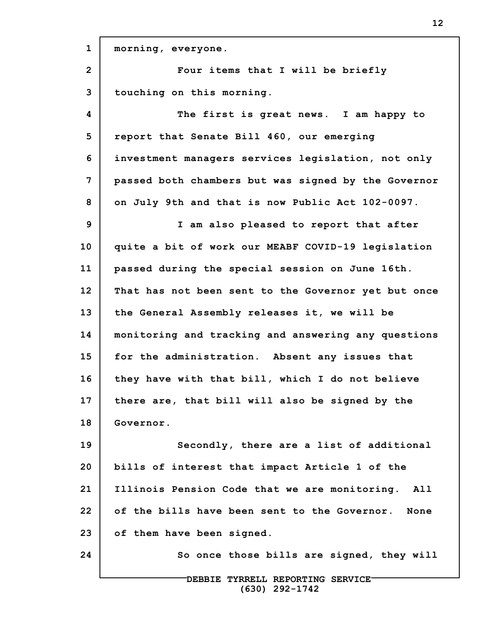**1 2 3 4 5 6 7 8 9 10 11 12 13 14 15 16 17 18 19 20 21 22 23 24 DEBBIE TYRRELL REPORTING SERVICE morning, everyone. Four items that I will be briefly touching on this morning. The first is great news. I am happy to report that Senate Bill 460, our emerging investment managers services legislation, not only passed both chambers but was signed by the Governor on July 9th and that is now Public Act 102-0097. I am also pleased to report that after quite a bit of work our MEABF COVID-19 legislation passed during the special session on June 16th. That has not been sent to the Governor yet but once the General Assembly releases it, we will be monitoring and tracking and answering any questions for the administration. Absent any issues that they have with that bill, which I do not believe there are, that bill will also be signed by the Governor. Secondly, there are a list of additional bills of interest that impact Article 1 of the Illinois Pension Code that we are monitoring. All of the bills have been sent to the Governor. None of them have been signed. So once those bills are signed, they will**

**(630) 292-1742**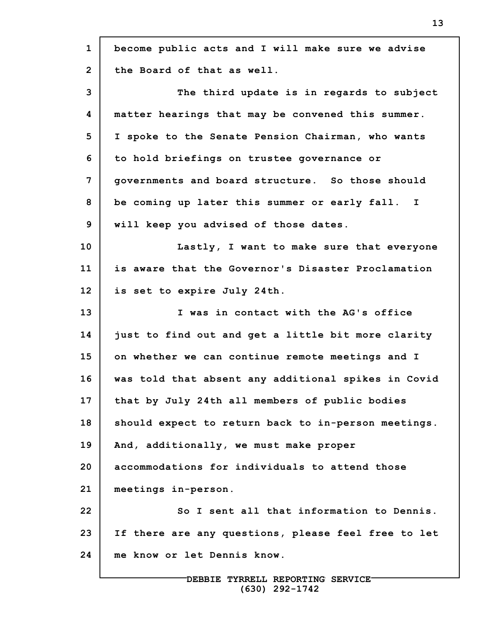| $\mathbf{1}$   | become public acts and I will make sure we advise   |
|----------------|-----------------------------------------------------|
| $\overline{2}$ | the Board of that as well.                          |
| 3              | The third update is in regards to subject           |
| 4              | matter hearings that may be convened this summer.   |
| 5              | I spoke to the Senate Pension Chairman, who wants   |
| 6              | to hold briefings on trustee governance or          |
| 7              | governments and board structure. So those should    |
| 8              | be coming up later this summer or early fall. I     |
| 9              | will keep you advised of those dates.               |
| 10             | Lastly, I want to make sure that everyone           |
| 11             | is aware that the Governor's Disaster Proclamation  |
| 12             | is set to expire July 24th.                         |
| 13             | I was in contact with the AG's office               |
| 14             | just to find out and get a little bit more clarity  |
| 15             | on whether we can continue remote meetings and I    |
| 16             | was told that absent any additional spikes in Covid |
| 17             | that by July 24th all members of public bodies      |
| 18             | should expect to return back to in-person meetings. |
| 19             | And, additionally, we must make proper              |
| 20             | accommodations for individuals to attend those      |
| 21             | meetings in-person.                                 |
| 22             | So I sent all that information to Dennis.           |
| 23             | If there are any questions, please feel free to let |
| 24             | me know or let Dennis know.                         |
|                |                                                     |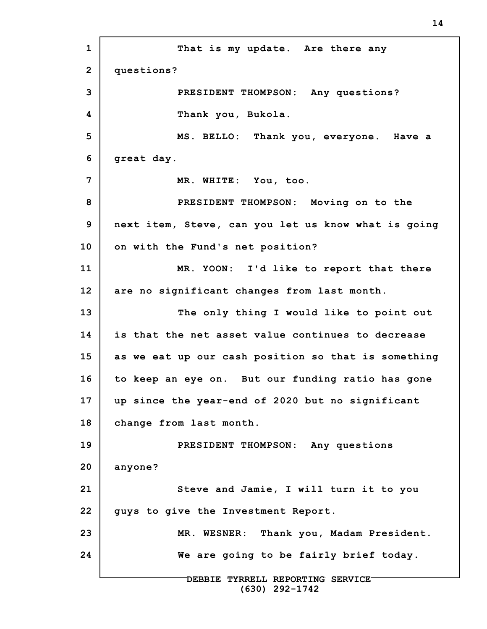**1 2 3 4 5 6 7 8 9 10 11 12 13 14 15 16 17 18 19 20 21 22 23 24 DEBBIE TYRRELL REPORTING SERVICE (630) 292-1742 That is my update. Are there any questions? PRESIDENT THOMPSON: Any questions? Thank you, Bukola. MS. BELLO: Thank you, everyone. Have a great day. MR. WHITE: You, too. PRESIDENT THOMPSON: Moving on to the next item, Steve, can you let us know what is going on with the Fund's net position? MR. YOON: I'd like to report that there are no significant changes from last month. The only thing I would like to point out is that the net asset value continues to decrease as we eat up our cash position so that is something to keep an eye on. But our funding ratio has gone up since the year-end of 2020 but no significant change from last month. PRESIDENT THOMPSON: Any questions anyone? Steve and Jamie, I will turn it to you guys to give the Investment Report. MR. WESNER: Thank you, Madam President. We are going to be fairly brief today.**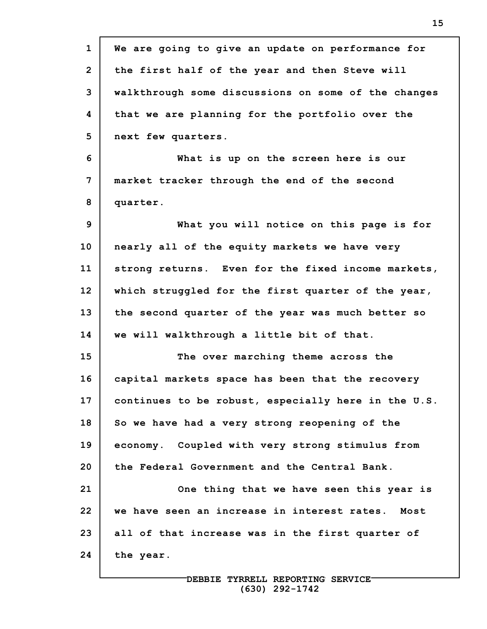| $\mathbf{1}$   | We are going to give an update on performance for   |
|----------------|-----------------------------------------------------|
| $\overline{2}$ | the first half of the year and then Steve will      |
| 3              | walkthrough some discussions on some of the changes |
| 4              | that we are planning for the portfolio over the     |
| 5              | next few quarters.                                  |
| 6              | What is up on the screen here is our                |
| 7              | market tracker through the end of the second        |
| 8              | quarter.                                            |
| 9              | What you will notice on this page is for            |
| 10             | nearly all of the equity markets we have very       |
| 11             | strong returns. Even for the fixed income markets,  |
| 12             | which struggled for the first quarter of the year,  |
| 13             | the second quarter of the year was much better so   |
| 14             | we will walkthrough a little bit of that.           |
| 15             | The over marching theme across the                  |
| 16             | capital markets space has been that the recovery    |
| 17             | continues to be robust, especially here in the U.S. |
| 18             | So we have had a very strong reopening of the       |
| 19             | economy. Coupled with very strong stimulus from     |
| 20             | the Federal Government and the Central Bank.        |
| 21             | One thing that we have seen this year is            |
| 22             | we have seen an increase in interest rates.<br>Most |
| 23             | all of that increase was in the first quarter of    |
| 24             | the year.                                           |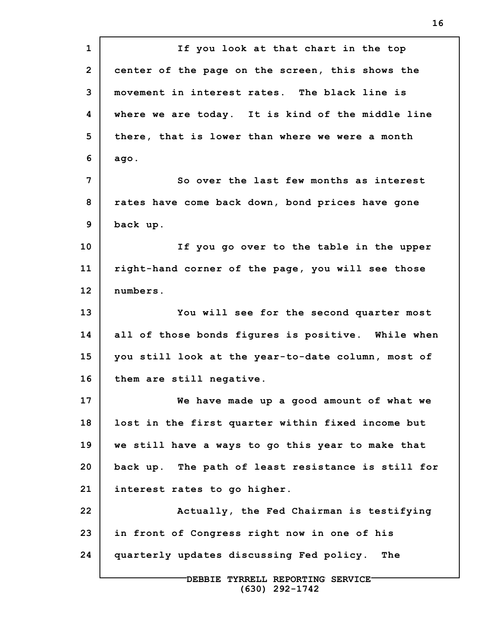**1 2 3 4 5 6 7 8 9 10 11 12 13 14 15 16 17 18 19 20 21 22 23 24 DEBBIE TYRRELL REPORTING SERVICE If you look at that chart in the top center of the page on the screen, this shows the movement in interest rates. The black line is where we are today. It is kind of the middle line there, that is lower than where we were a month ago. So over the last few months as interest rates have come back down, bond prices have gone back up. If you go over to the table in the upper right-hand corner of the page, you will see those numbers. You will see for the second quarter most all of those bonds figures is positive. While when you still look at the year-to-date column, most of them are still negative. We have made up a good amount of what we lost in the first quarter within fixed income but we still have a ways to go this year to make that back up. The path of least resistance is still for interest rates to go higher. Actually, the Fed Chairman is testifying in front of Congress right now in one of his quarterly updates discussing Fed policy. The**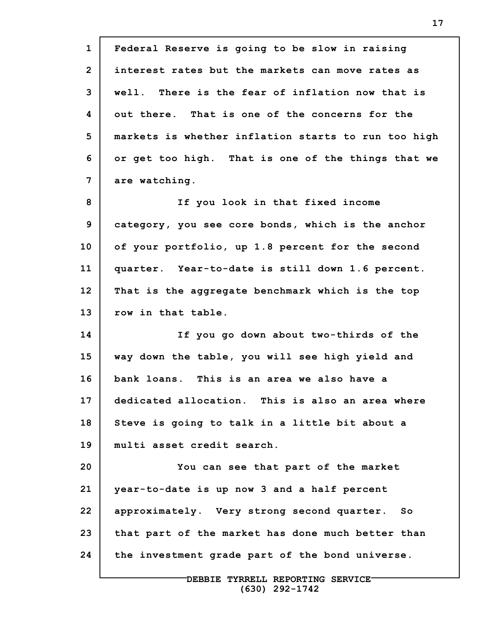**1 2 3 4 5 6 7 8 9 10 11 12 13 14 15 16 17 18 19 20 21 22 23 24 Federal Reserve is going to be slow in raising interest rates but the markets can move rates as well. There is the fear of inflation now that is out there. That is one of the concerns for the markets is whether inflation starts to run too high or get too high. That is one of the things that we are watching. If you look in that fixed income category, you see core bonds, which is the anchor of your portfolio, up 1.8 percent for the second quarter. Year-to-date is still down 1.6 percent. That is the aggregate benchmark which is the top row in that table. If you go down about two-thirds of the way down the table, you will see high yield and bank loans. This is an area we also have a dedicated allocation. This is also an area where Steve is going to talk in a little bit about a multi asset credit search. You can see that part of the market year-to-date is up now 3 and a half percent approximately. Very strong second quarter. So that part of the market has done much better than the investment grade part of the bond universe.**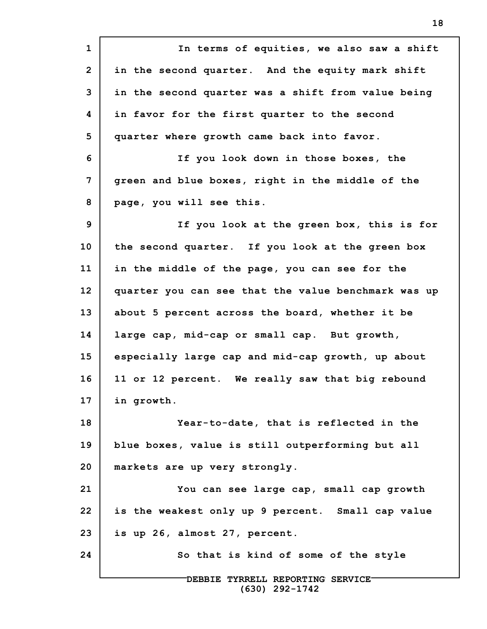**1 2 3 4 5 6 7 8 9 10 11 12 13 14 15 16 17 18 19 20 21 22 23 24 DEBBIE TYRRELL REPORTING SERVICE In terms of equities, we also saw a shift in the second quarter. And the equity mark shift in the second quarter was a shift from value being in favor for the first quarter to the second quarter where growth came back into favor. If you look down in those boxes, the green and blue boxes, right in the middle of the page, you will see this. If you look at the green box, this is for the second quarter. If you look at the green box in the middle of the page, you can see for the quarter you can see that the value benchmark was up about 5 percent across the board, whether it be large cap, mid-cap or small cap. But growth, especially large cap and mid-cap growth, up about 11 or 12 percent. We really saw that big rebound in growth. Year-to-date, that is reflected in the blue boxes, value is still outperforming but all markets are up very strongly. You can see large cap, small cap growth is the weakest only up 9 percent. Small cap value is up 26, almost 27, percent. So that is kind of some of the style**

**(630) 292-1742**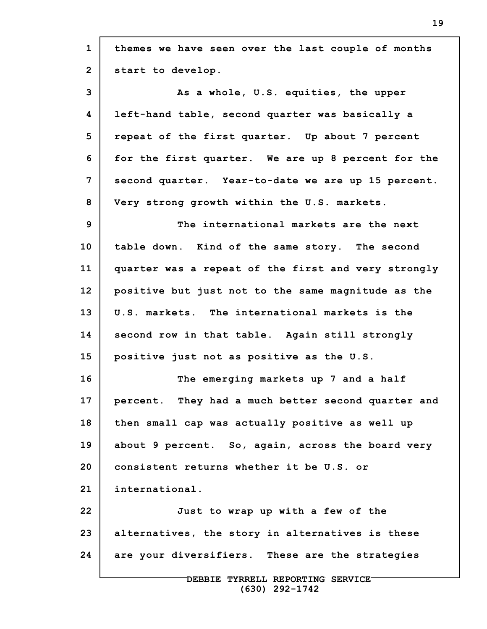| $\mathbf{1}$   | themes we have seen over the last couple of months  |
|----------------|-----------------------------------------------------|
| $\overline{2}$ | start to develop.                                   |
| 3              | As a whole, U.S. equities, the upper                |
| 4              | left-hand table, second quarter was basically a     |
| 5              | repeat of the first quarter. Up about 7 percent     |
| 6              | for the first quarter. We are up 8 percent for the  |
| 7              | second quarter. Year-to-date we are up 15 percent.  |
| 8              | Very strong growth within the U.S. markets.         |
| 9              | The international markets are the next              |
| 10             | table down. Kind of the same story. The second      |
| 11             | quarter was a repeat of the first and very strongly |
| 12             | positive but just not to the same magnitude as the  |
| 13             | U.S. markets. The international markets is the      |
| 14             | second row in that table. Again still strongly      |
| 15             | positive just not as positive as the U.S.           |
| 16             | The emerging markets up 7 and a half                |
| 17             | percent. They had a much better second quarter and  |
| 18             | then small cap was actually positive as well up     |
| 19             | about 9 percent. So, again, across the board very   |
| 20             | consistent returns whether it be U.S. or            |
| 21             | international.                                      |
| 22             | Just to wrap up with a few of the                   |
| 23             | alternatives, the story in alternatives is these    |
| 24             | are your diversifiers. These are the strategies     |
|                | DEBBIE TYRRELL REPORTING SERVICE                    |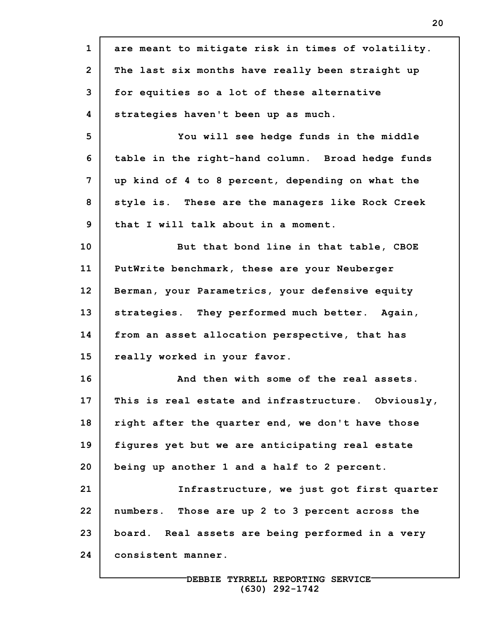| $\mathbf{1}$   | are meant to mitigate risk in times of volatility. |
|----------------|----------------------------------------------------|
| $\overline{2}$ | The last six months have really been straight up   |
| 3              | for equities so a lot of these alternative         |
| 4              | strategies haven't been up as much.                |
| 5              | You will see hedge funds in the middle             |
| 6              | table in the right-hand column. Broad hedge funds  |
| 7              | up kind of 4 to 8 percent, depending on what the   |
| 8              | style is. These are the managers like Rock Creek   |
| 9              | that I will talk about in a moment.                |
| 10             | But that bond line in that table, CBOE             |
| 11             | PutWrite benchmark, these are your Neuberger       |
| 12             | Berman, your Parametrics, your defensive equity    |
| 13             | strategies. They performed much better. Again,     |
| 14             | from an asset allocation perspective, that has     |
| 15             | really worked in your favor.                       |
| 16             | And then with some of the real assets.             |
| 17             | This is real estate and infrastructure. Obviously, |
| 18             | right after the quarter end, we don't have those   |
| 19             | figures yet but we are anticipating real estate    |
| 20             | being up another 1 and a half to 2 percent.        |
| 21             | Infrastructure, we just got first quarter          |
| 22             | numbers. Those are up 2 to 3 percent across the    |
| 23             | board. Real assets are being performed in a very   |
| 24             | consistent manner.                                 |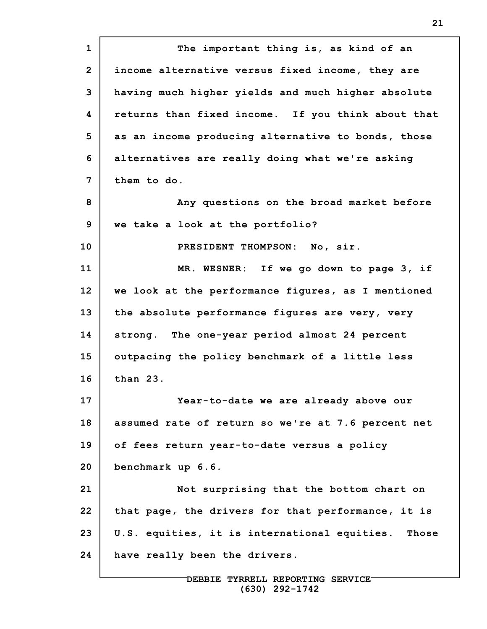**1 2 3 4 5 6 7 8 9 10 11 12 13 14 15 16 17 18 19 20 21 22 23 24 The important thing is, as kind of an income alternative versus fixed income, they are having much higher yields and much higher absolute returns than fixed income. If you think about that as an income producing alternative to bonds, those alternatives are really doing what we're asking them to do. Any questions on the broad market before we take a look at the portfolio? PRESIDENT THOMPSON: No, sir. MR. WESNER: If we go down to page 3, if we look at the performance figures, as I mentioned the absolute performance figures are very, very strong. The one-year period almost 24 percent outpacing the policy benchmark of a little less than 23. Year-to-date we are already above our assumed rate of return so we're at 7.6 percent net of fees return year-to-date versus a policy benchmark up 6.6. Not surprising that the bottom chart on that page, the drivers for that performance, it is U.S. equities, it is international equities. Those have really been the drivers.**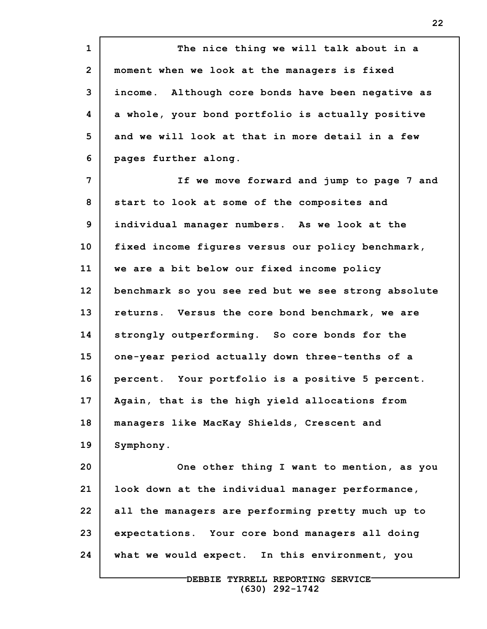**1 2 3 4 5 6 7 8 9 10 11 12 13 14 15 16 17 18 19 20 21 22 23 24 The nice thing we will talk about in a moment when we look at the managers is fixed income. Although core bonds have been negative as a whole, your bond portfolio is actually positive and we will look at that in more detail in a few pages further along. If we move forward and jump to page 7 and start to look at some of the composites and individual manager numbers. As we look at the fixed income figures versus our policy benchmark, we are a bit below our fixed income policy benchmark so you see red but we see strong absolute returns. Versus the core bond benchmark, we are strongly outperforming. So core bonds for the one-year period actually down three-tenths of a percent. Your portfolio is a positive 5 percent. Again, that is the high yield allocations from managers like MacKay Shields, Crescent and Symphony. One other thing I want to mention, as you look down at the individual manager performance, all the managers are performing pretty much up to expectations. Your core bond managers all doing what we would expect. In this environment, you**

> **DEBBIE TYRRELL REPORTING SERVICE (630) 292-1742**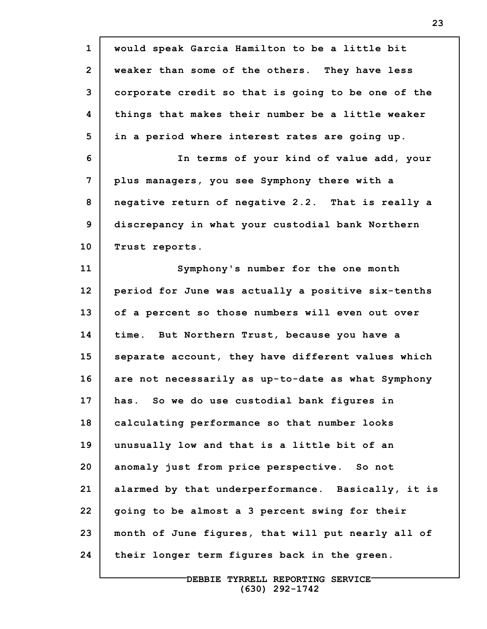| $\mathbf{1}$   | would speak Garcia Hamilton to be a little bit     |
|----------------|----------------------------------------------------|
| $\overline{2}$ | weaker than some of the others. They have less     |
| 3              | corporate credit so that is going to be one of the |
| 4              | things that makes their number be a little weaker  |
| 5              | in a period where interest rates are going up.     |
| 6              | In terms of your kind of value add, your           |
| 7              | plus managers, you see Symphony there with a       |
| 8              | negative return of negative 2.2. That is really a  |
| 9              | discrepancy in what your custodial bank Northern   |
| 10             | Trust reports.                                     |
| 11             | Symphony's number for the one month                |
| 12             | period for June was actually a positive six-tenths |
| 13             | of a percent so those numbers will even out over   |
| 14             | time. But Northern Trust, because you have a       |
| 15             | separate account, they have different values which |
| 16             | are not necessarily as up-to-date as what Symphony |
| 17             | has. So we do use custodial bank figures in        |
| 18             | calculating performance so that number looks       |
| 19             | unusually low and that is a little bit of an       |
| 20             | anomaly just from price perspective. So not        |
| 21             | alarmed by that underperformance. Basically, it is |
| 22             | going to be almost a 3 percent swing for their     |
| 23             | month of June figures, that will put nearly all of |
| 24             | their longer term figures back in the green.       |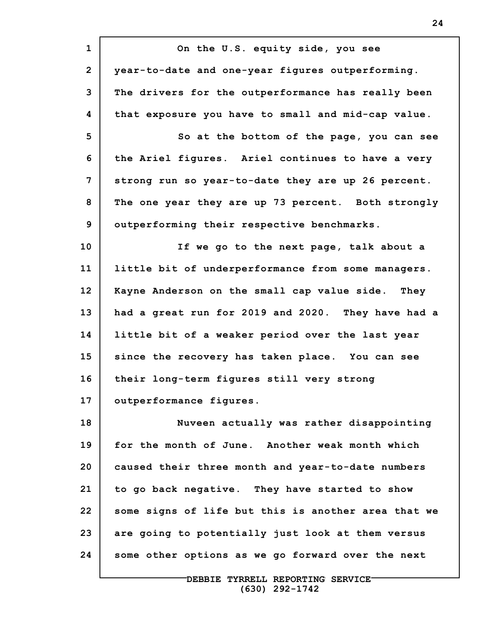| $\mathbf{1}$   | On the U.S. equity side, you see                    |
|----------------|-----------------------------------------------------|
| $\overline{2}$ | year-to-date and one-year figures outperforming.    |
| 3              | The drivers for the outperformance has really been  |
| 4              | that exposure you have to small and mid-cap value.  |
| 5              | So at the bottom of the page, you can see           |
| 6              | the Ariel figures. Ariel continues to have a very   |
| 7              | strong run so year-to-date they are up 26 percent.  |
| 8              | The one year they are up 73 percent. Both strongly  |
| $\mathbf{9}$   | outperforming their respective benchmarks.          |
| 10             | If we go to the next page, talk about a             |
| 11             | little bit of underperformance from some managers.  |
| 12             | Kayne Anderson on the small cap value side. They    |
| 13             | had a great run for 2019 and 2020. They have had a  |
| 14             | little bit of a weaker period over the last year    |
| 15             | since the recovery has taken place. You can see     |
| 16             | their long-term figures still very strong           |
| 17             | outperformance figures.                             |
| 18             | Nuveen actually was rather disappointing            |
| 19             | for the month of June. Another weak month which     |
| 20             | caused their three month and year-to-date numbers   |
| 21             | to go back negative. They have started to show      |
| 22             | some signs of life but this is another area that we |
| 23             | are going to potentially just look at them versus   |
| 24             | some other options as we go forward over the next   |
|                |                                                     |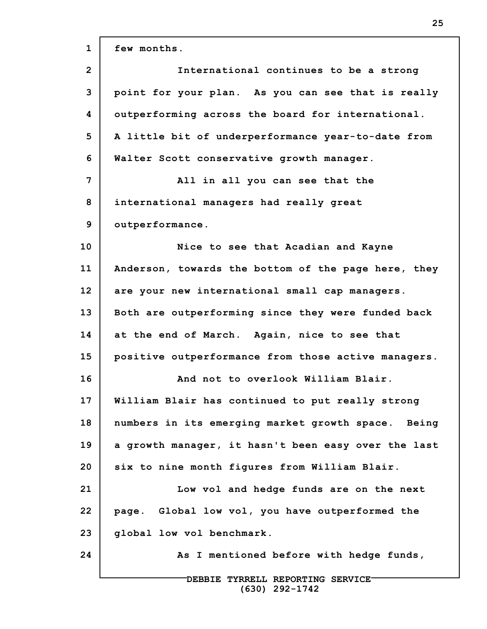| $\mathbf{1}$   | few months.                                         |
|----------------|-----------------------------------------------------|
| $\overline{2}$ | International continues to be a strong              |
| 3              | point for your plan. As you can see that is really  |
| 4              | outperforming across the board for international.   |
| 5              | A little bit of underperformance year-to-date from  |
| 6              | Walter Scott conservative growth manager.           |
| 7              | All in all you can see that the                     |
| 8              | international managers had really great             |
| 9              | outperformance.                                     |
| 10             | Nice to see that Acadian and Kayne                  |
| 11             | Anderson, towards the bottom of the page here, they |
| 12             | are your new international small cap managers.      |
| 13             | Both are outperforming since they were funded back  |
| 14             | at the end of March. Again, nice to see that        |
| 15             | positive outperformance from those active managers. |
| 16             | And not to overlook William Blair.                  |
| 17             | William Blair has continued to put really strong    |
| 18             | numbers in its emerging market growth space. Being  |
| 19             | a growth manager, it hasn't been easy over the last |
| 20             | six to nine month figures from William Blair.       |
| 21             | Low vol and hedge funds are on the next             |
| 22             | page. Global low vol, you have outperformed the     |
| 23             | global low vol benchmark.                           |
| 24             | As I mentioned before with hedge funds,             |
|                | DEBBIE TYRRELL REPORTING SERVICE-                   |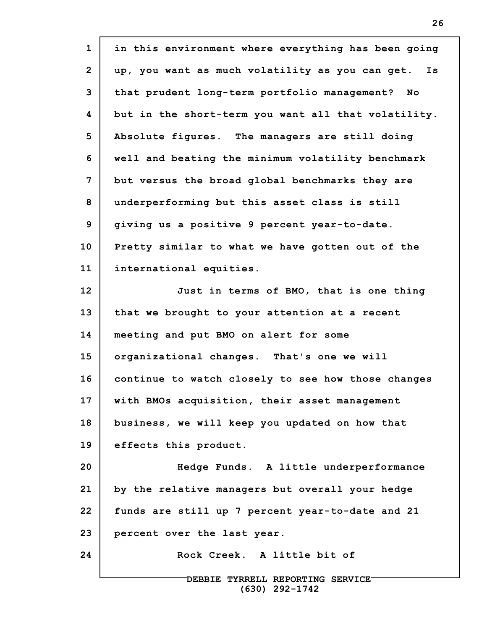| $\mathbf{1}$    | in this environment where everything has been going   |
|-----------------|-------------------------------------------------------|
| $\overline{2}$  | up, you want as much volatility as you can get.<br>Is |
| 3               | that prudent long-term portfolio management? No       |
| 4               | but in the short-term you want all that volatility.   |
| 5               | Absolute fiqures. The managers are still doing        |
| 6               | well and beating the minimum volatility benchmark     |
| 7               | but versus the broad global benchmarks they are       |
| 8               | underperforming but this asset class is still         |
| 9               | giving us a positive 9 percent year-to-date.          |
| 10 <sub>1</sub> | Pretty similar to what we have gotten out of the      |
| 11              | international equities.                               |
| 12              | Just in terms of BMO, that is one thing               |
| 13              | that we brought to your attention at a recent         |
| 14              | meeting and put BMO on alert for some                 |
| 15              | organizational changes. That's one we will            |
| 16              | continue to watch closely to see how those changes    |
| 17              | with BMOs acquisition, their asset management         |
| 18              | business, we will keep you updated on how that        |
| 19              | effects this product.                                 |
| 20              | Hedge Funds. A little underperformance                |
| 21              | by the relative managers but overall your hedge       |
| 22              | funds are still up 7 percent year-to-date and 21      |
| 23              | percent over the last year.                           |
| 24              | Rock Creek. A little bit of                           |
|                 | DEBBIE TYRRELL REPORTING SERVICE-                     |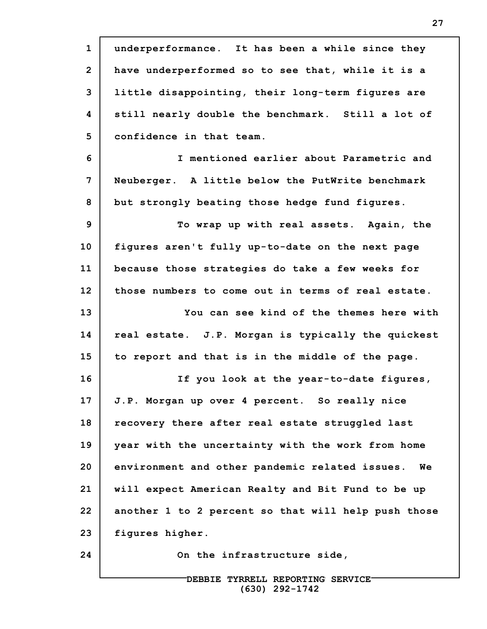**1 2 3 4 5 6 7 8 9 10 11 12 13 14 15 16 17 18 19 20 21 22 23 24 underperformance. It has been a while since they have underperformed so to see that, while it is a little disappointing, their long-term figures are still nearly double the benchmark. Still a lot of confidence in that team. I mentioned earlier about Parametric and Neuberger. A little below the PutWrite benchmark but strongly beating those hedge fund figures. To wrap up with real assets. Again, the figures aren't fully up-to-date on the next page because those strategies do take a few weeks for those numbers to come out in terms of real estate. You can see kind of the themes here with real estate. J.P. Morgan is typically the quickest to report and that is in the middle of the page. If you look at the year-to-date figures, J.P. Morgan up over 4 percent. So really nice recovery there after real estate struggled last year with the uncertainty with the work from home environment and other pandemic related issues. We will expect American Realty and Bit Fund to be up another 1 to 2 percent so that will help push those figures higher. On the infrastructure side,**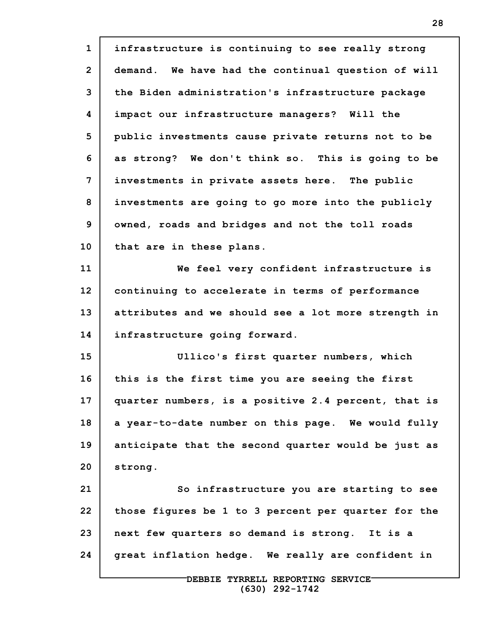| $\mathbf{1}$    | infrastructure is continuing to see really strong   |
|-----------------|-----------------------------------------------------|
| $\overline{2}$  | demand. We have had the continual question of will  |
| 3               | the Biden administration's infrastructure package   |
| 4               | impact our infrastructure managers? Will the        |
| 5               | public investments cause private returns not to be  |
| 6               | as strong? We don't think so. This is going to be   |
| 7               | investments in private assets here. The public      |
| 8               | investments are going to go more into the publicly  |
| 9               | owned, roads and bridges and not the toll roads     |
| 10              | that are in these plans.                            |
| 11              | We feel very confident infrastructure is            |
| 12 <sub>2</sub> | continuing to accelerate in terms of performance    |
| 13              | attributes and we should see a lot more strength in |
| 14              | infrastructure going forward.                       |
| 15              | Ullico's first quarter numbers, which               |
| 16              | this is the first time you are seeing the first     |
| 17              | quarter numbers, is a positive 2.4 percent, that is |
| 18              | a year-to-date number on this page. We would fully  |
| 19              | anticipate that the second quarter would be just as |
| 20              | strong.                                             |
| 21              | So infrastructure you are starting to see           |
| 22              | those figures be 1 to 3 percent per quarter for the |
| 23              | next few quarters so demand is strong. It is a      |
| 24              | great inflation hedge. We really are confident in   |
|                 | DEBBIE TYRRELL REPORTING SERVICE                    |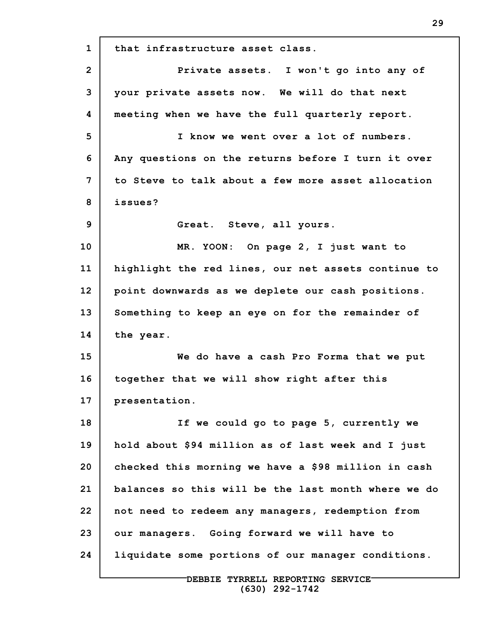**1 2 3 4 5 6 7 8 9 10 11 12 13 14 15 16 17 18 19 20 21 22 23 24 that infrastructure asset class. Private assets. I won't go into any of your private assets now. We will do that next meeting when we have the full quarterly report. I know we went over a lot of numbers. Any questions on the returns before I turn it over to Steve to talk about a few more asset allocation issues? Great. Steve, all yours. MR. YOON: On page 2, I just want to highlight the red lines, our net assets continue to point downwards as we deplete our cash positions. Something to keep an eye on for the remainder of the year. We do have a cash Pro Forma that we put together that we will show right after this presentation. If we could go to page 5, currently we hold about \$94 million as of last week and I just checked this morning we have a \$98 million in cash balances so this will be the last month where we do not need to redeem any managers, redemption from our managers. Going forward we will have to liquidate some portions of our manager conditions.**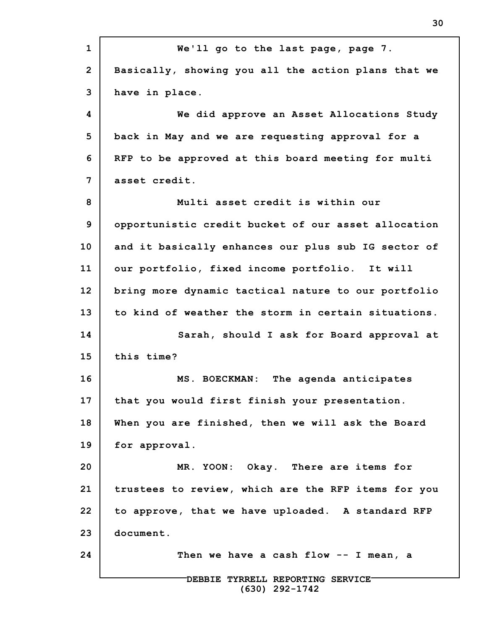| $\mathbf{1}$   | We'll go to the last page, page 7.                  |
|----------------|-----------------------------------------------------|
| $\overline{2}$ | Basically, showing you all the action plans that we |
| 3              | have in place.                                      |
| 4              | We did approve an Asset Allocations Study           |
| 5              | back in May and we are requesting approval for a    |
| 6              | RFP to be approved at this board meeting for multi  |
| $\overline{7}$ | asset credit.                                       |
| 8              | Multi asset credit is within our                    |
| 9              | opportunistic credit bucket of our asset allocation |
| 10             | and it basically enhances our plus sub IG sector of |
| 11             | our portfolio, fixed income portfolio. It will      |
| 12             | bring more dynamic tactical nature to our portfolio |
| 13             | to kind of weather the storm in certain situations. |
| 14             | Sarah, should I ask for Board approval at           |
| 15             | this time?                                          |
| 16             | MS. BOECKMAN: The agenda anticipates                |
| 17             | that you would first finish your presentation.      |
| 18             | When you are finished, then we will ask the Board   |
| 19             | for approval.                                       |
| 20             | MR. YOON: Okay. There are items for                 |
| 21             | trustees to review, which are the RFP items for you |
| 22             | to approve, that we have uploaded. A standard RFP   |
| 23             | document.                                           |
| 24             | Then we have a cash flow -- I mean, a               |
|                | DEBBIE TYRRELL REPORTING SERVICE-                   |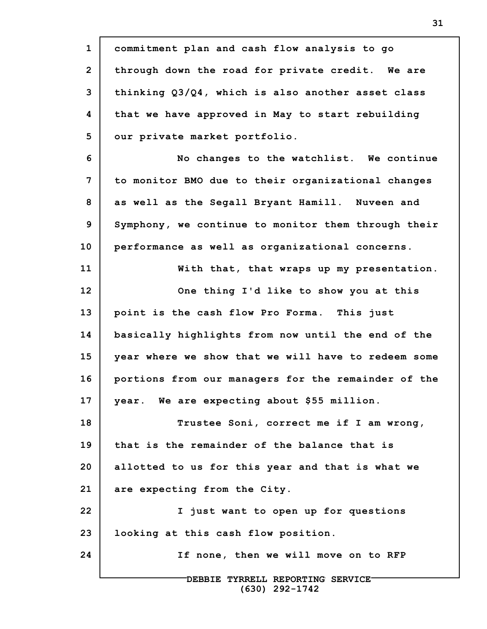**1 2 3 4 5 6 7 8 9 10 11 12 13 14 15 16 17 18 19 20 21 22 23 24 DEBBIE TYRRELL REPORTING SERVICE commitment plan and cash flow analysis to go through down the road for private credit. We are thinking Q3/Q4, which is also another asset class that we have approved in May to start rebuilding our private market portfolio. No changes to the watchlist. We continue to monitor BMO due to their organizational changes as well as the Segall Bryant Hamill. Nuveen and Symphony, we continue to monitor them through their performance as well as organizational concerns. With that, that wraps up my presentation. One thing I'd like to show you at this point is the cash flow Pro Forma. This just basically highlights from now until the end of the year where we show that we will have to redeem some portions from our managers for the remainder of the year. We are expecting about \$55 million. Trustee Soni, correct me if I am wrong, that is the remainder of the balance that is allotted to us for this year and that is what we are expecting from the City. I just want to open up for questions looking at this cash flow position. If none, then we will move on to RFP**

**31**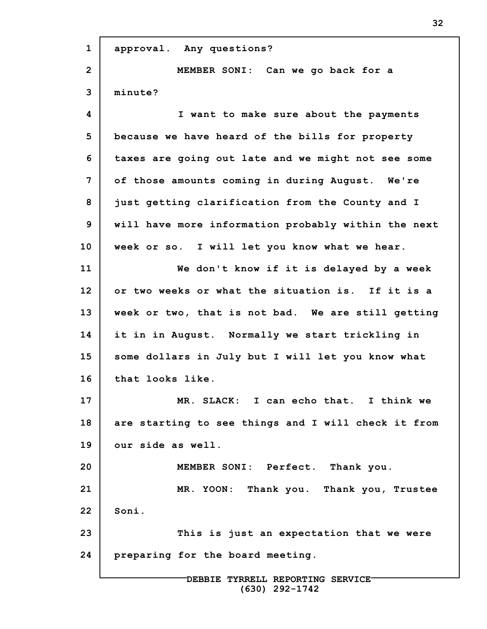| $\mathbf{1}$   | approval. Any questions?                            |
|----------------|-----------------------------------------------------|
| $\overline{2}$ | MEMBER SONI: Can we go back for a                   |
| 3              | minute?                                             |
| 4              | I want to make sure about the payments              |
| 5              | because we have heard of the bills for property     |
| 6              | taxes are going out late and we might not see some  |
| 7              | of those amounts coming in during August. We're     |
| 8              | just getting clarification from the County and I    |
| 9              | will have more information probably within the next |
| 10             | week or so. I will let you know what we hear.       |
| 11             | We don't know if it is delayed by a week            |
| 12             | or two weeks or what the situation is. If it is a   |
| 13             | week or two, that is not bad. We are still getting  |
| 14             | it in in August. Normally we start trickling in     |
| 15             | some dollars in July but I will let you know what   |
| 16             | that looks like.                                    |
| 17             | MR. SLACK: I can echo that. I think we              |
| 18             | are starting to see things and I will check it from |
| 19             | our side as well.                                   |
| 20             | MEMBER SONI: Perfect. Thank you.                    |
| 21             | MR. YOON: Thank you. Thank you, Trustee             |
| 22             | Soni.                                               |
| 23             | This is just an expectation that we were            |
| 24             | preparing for the board meeting.                    |
|                | DEBBIE TYRRELL REPORTING SERVICE-                   |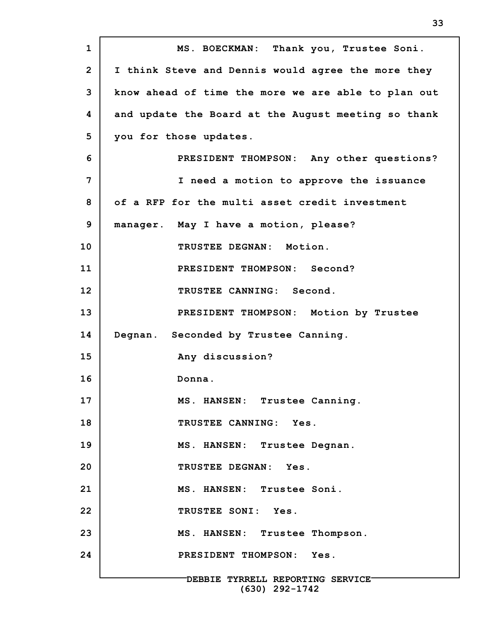| $\mathbf{1}$   | MS. BOECKMAN: Thank you, Trustee Soni.                |
|----------------|-------------------------------------------------------|
| $\overline{2}$ | I think Steve and Dennis would agree the more they    |
| 3              | know ahead of time the more we are able to plan out   |
| 4              | and update the Board at the August meeting so thank   |
| 5              | you for those updates.                                |
| 6              | PRESIDENT THOMPSON: Any other questions?              |
| 7              | I need a motion to approve the issuance               |
| 8              | of a RFP for the multi asset credit investment        |
| 9              | manager. May I have a motion, please?                 |
| 10             | TRUSTEE DEGNAN: Motion.                               |
| 11             | PRESIDENT THOMPSON: Second?                           |
| 12             | TRUSTEE CANNING: Second.                              |
| 13             | PRESIDENT THOMPSON: Motion by Trustee                 |
| 14             | Degnan. Seconded by Trustee Canning.                  |
| 15             | Any discussion?                                       |
| 16             | Donna.                                                |
| 17             | MS. HANSEN: Trustee Canning.                          |
| 18             | TRUSTEE CANNING: Yes.                                 |
| 19             | MS. HANSEN: Trustee Degnan.                           |
| 20             | TRUSTEE DEGNAN: Yes.                                  |
| 21             | MS. HANSEN: Trustee Soni.                             |
| 22             | TRUSTEE SONI: Yes.                                    |
| 23             | MS. HANSEN: Trustee Thompson.                         |
| 24             | PRESIDENT THOMPSON: Yes.                              |
|                | DEBBIE TYRRELL REPORTING SERVICE-<br>$(630)$ 292-1742 |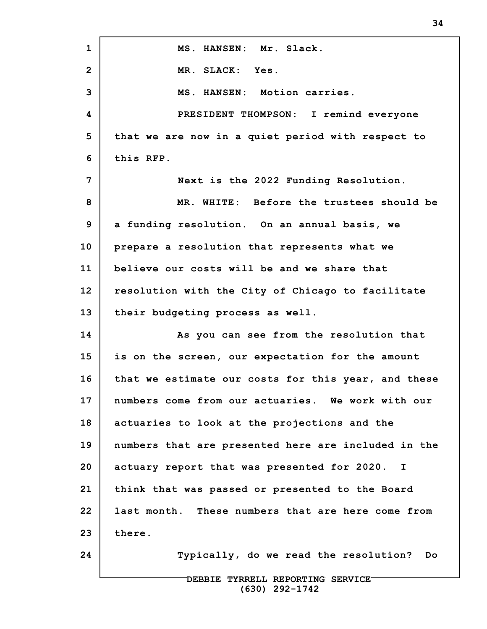| $\mathbf{1}$   | MS. HANSEN: Mr. Slack.                              |
|----------------|-----------------------------------------------------|
| $\overline{2}$ | MR. SLACK: Yes.                                     |
| 3              | MS. HANSEN: Motion carries.                         |
| 4              | PRESIDENT THOMPSON: I remind everyone               |
| 5              | that we are now in a quiet period with respect to   |
| 6              | this RFP.                                           |
| 7              | Next is the 2022 Funding Resolution.                |
| 8              | MR. WHITE: Before the trustees should be            |
| 9              | a funding resolution. On an annual basis, we        |
| 10             | prepare a resolution that represents what we        |
| 11             | believe our costs will be and we share that         |
| 12             | resolution with the City of Chicago to facilitate   |
| 13             | their budgeting process as well.                    |
| 14             | As you can see from the resolution that             |
| 15             | is on the screen, our expectation for the amount    |
| 16             | that we estimate our costs for this year, and these |
| 17             | numbers come from our actuaries. We work with our   |
| 18             | actuaries to look at the projections and the        |
| 19             | numbers that are presented here are included in the |
| 20             | actuary report that was presented for 2020. I       |
| 21             | think that was passed or presented to the Board     |
| 22             | last month. These numbers that are here come from   |
| 23             | there.                                              |
| 24             | Typically, do we read the resolution?<br>Do         |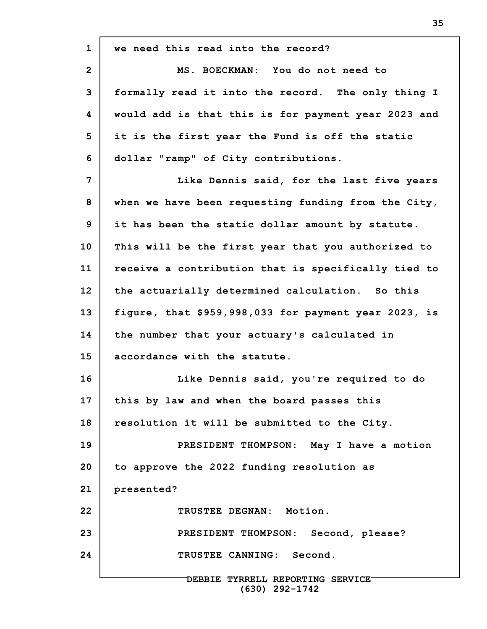| $\mathbf{1}$   | we need this read into the record?                   |
|----------------|------------------------------------------------------|
| $\overline{2}$ | MS. BOECKMAN: You do not need to                     |
| 3              | formally read it into the record. The only thing I   |
| 4              | would add is that this is for payment year 2023 and  |
| 5              | it is the first year the Fund is off the static      |
| 6              | dollar "ramp" of City contributions.                 |
| 7              | Like Dennis said, for the last five years            |
| 8              | when we have been requesting funding from the City,  |
| 9              | it has been the static dollar amount by statute.     |
| 10             | This will be the first year that you authorized to   |
| 11             | receive a contribution that is specifically tied to  |
| 12             | the actuarially determined calculation. So this      |
| 13             | figure, that \$959,998,033 for payment year 2023, is |
| 14             | the number that your actuary's calculated in         |
| 15             | accordance with the statute.                         |
| 16             | Like Dennis said, you're required to do              |
| 17             | this by law and when the board passes this           |
| 18             | resolution it will be submitted to the City.         |
| 19             | PRESIDENT THOMPSON: May I have a motion              |
| 20             | to approve the 2022 funding resolution as            |
| 21             | presented?                                           |
| 22             | TRUSTEE DEGNAN: Motion.                              |
| 23             | PRESIDENT THOMPSON: Second, please?                  |
| 24             | TRUSTEE CANNING: Second.                             |
|                | DEBBIE TYRRELL REPORTING SERVICE<br>$(630)$ 292-1742 |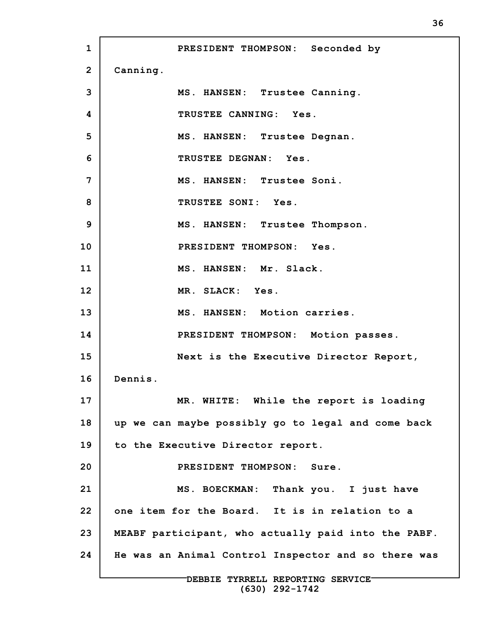**1 2 3 4 5 6 7 8 9 10 11 12 13 14 15 16 17 18 19 20 21 22 23 24 PRESIDENT THOMPSON: Seconded by Canning. MS. HANSEN: Trustee Canning. TRUSTEE CANNING: Yes. MS. HANSEN: Trustee Degnan. TRUSTEE DEGNAN: Yes. MS. HANSEN: Trustee Soni. TRUSTEE SONI: Yes. MS. HANSEN: Trustee Thompson. PRESIDENT THOMPSON: Yes. MS. HANSEN: Mr. Slack. MR. SLACK: Yes. MS. HANSEN: Motion carries. PRESIDENT THOMPSON: Motion passes. Next is the Executive Director Report, Dennis. MR. WHITE: While the report is loading up we can maybe possibly go to legal and come back to the Executive Director report. PRESIDENT THOMPSON: Sure. MS. BOECKMAN: Thank you. I just have one item for the Board. It is in relation to a MEABF participant, who actually paid into the PABF. He was an Animal Control Inspector and so there was**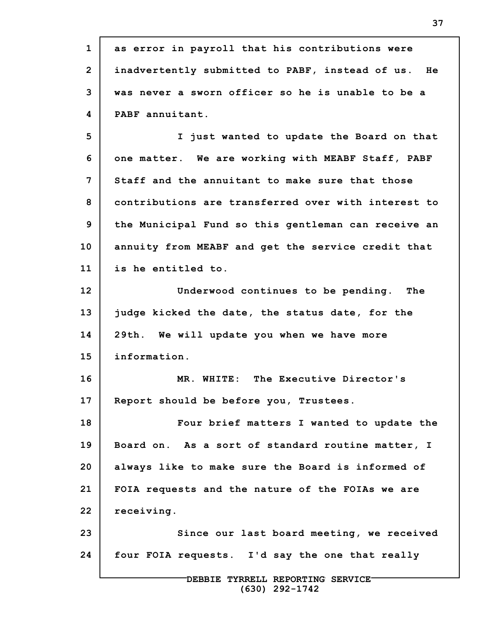**1 2 3 4 5 6 7 8 9 10 11 12 13 14 15 16 17 18 19 20 21 22 23 24 DEBBIE TYRRELL REPORTING SERVICE as error in payroll that his contributions were inadvertently submitted to PABF, instead of us. He was never a sworn officer so he is unable to be a PABF annuitant. I just wanted to update the Board on that one matter. We are working with MEABF Staff, PABF Staff and the annuitant to make sure that those contributions are transferred over with interest to the Municipal Fund so this gentleman can receive an annuity from MEABF and get the service credit that is he entitled to. Underwood continues to be pending. The judge kicked the date, the status date, for the 29th. We will update you when we have more information. MR. WHITE: The Executive Director's Report should be before you, Trustees. Four brief matters I wanted to update the Board on. As a sort of standard routine matter, I always like to make sure the Board is informed of FOIA requests and the nature of the FOIAs we are receiving. Since our last board meeting, we received four FOIA requests. I'd say the one that really**

**37**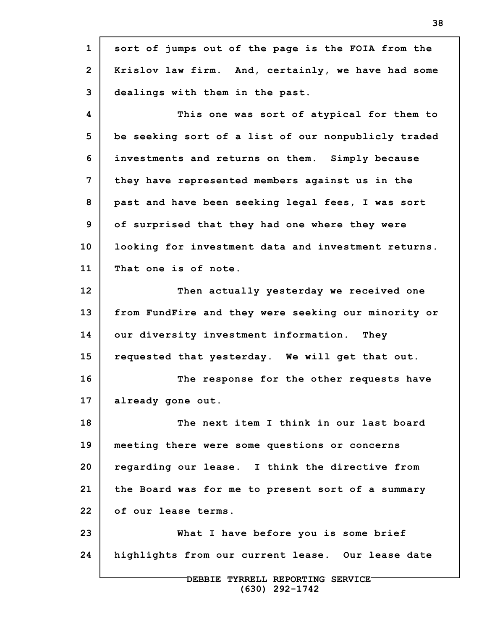**1 2 3 4 5 6 7 8 9 10 11 12 13 14 15 16 17 18 19 20 21 22 23 24 DEBBIE TYRRELL REPORTING SERVICE sort of jumps out of the page is the FOIA from the Krislov law firm. And, certainly, we have had some dealings with them in the past. This one was sort of atypical for them to be seeking sort of a list of our nonpublicly traded investments and returns on them. Simply because they have represented members against us in the past and have been seeking legal fees, I was sort of surprised that they had one where they were looking for investment data and investment returns. That one is of note. Then actually yesterday we received one from FundFire and they were seeking our minority or our diversity investment information. They requested that yesterday. We will get that out. The response for the other requests have already gone out. The next item I think in our last board meeting there were some questions or concerns regarding our lease. I think the directive from the Board was for me to present sort of a summary of our lease terms. What I have before you is some brief highlights from our current lease. Our lease date**

**38**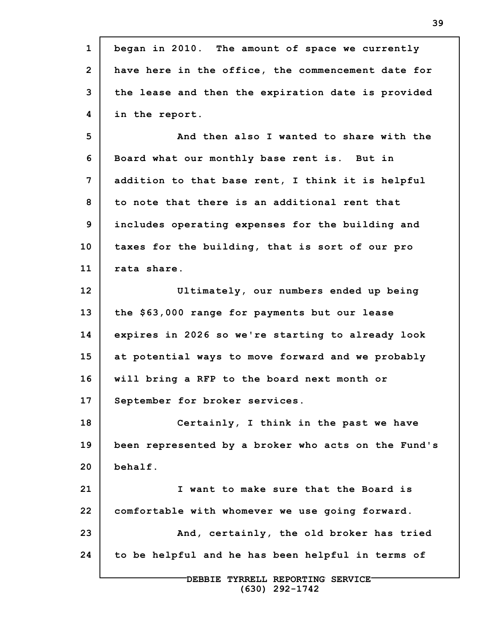**1 2 3 4 5 6 7 8 9 10 11 12 13 14 15 16 17 18 19 20 21 22 23 24 DEBBIE TYRRELL REPORTING SERVICE (630) 292-1742 began in 2010. The amount of space we currently have here in the office, the commencement date for the lease and then the expiration date is provided in the report. And then also I wanted to share with the Board what our monthly base rent is. But in addition to that base rent, I think it is helpful to note that there is an additional rent that includes operating expenses for the building and taxes for the building, that is sort of our pro rata share. Ultimately, our numbers ended up being the \$63,000 range for payments but our lease expires in 2026 so we're starting to already look at potential ways to move forward and we probably will bring a RFP to the board next month or September for broker services. Certainly, I think in the past we have been represented by a broker who acts on the Fund's behalf. I want to make sure that the Board is comfortable with whomever we use going forward. And, certainly, the old broker has tried to be helpful and he has been helpful in terms of**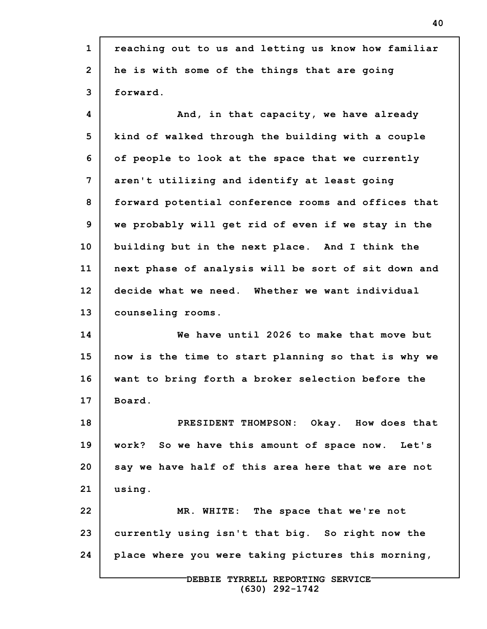| $\mathbf{1}$   | reaching out to us and letting us know how familiar |
|----------------|-----------------------------------------------------|
| $\overline{2}$ | he is with some of the things that are going        |
| 3              | forward.                                            |
| 4              | And, in that capacity, we have already              |
| 5              | kind of walked through the building with a couple   |
| 6              | of people to look at the space that we currently    |
| 7              | aren't utilizing and identify at least going        |
| 8              | forward potential conference rooms and offices that |
| 9              | we probably will get rid of even if we stay in the  |
| 10             | building but in the next place. And I think the     |
| 11             | next phase of analysis will be sort of sit down and |
| 12             | decide what we need. Whether we want individual     |
| 13             | counseling rooms.                                   |
| 14             | We have until 2026 to make that move but            |
| 15             | now is the time to start planning so that is why we |
| 16             | want to bring forth a broker selection before the   |
| 17             | Board.                                              |
| 18             | PRESIDENT THOMPSON: Okay. How does that             |
| 19             | work? So we have this amount of space now. Let's    |
| 20             | say we have half of this area here that we are not  |
| 21             | using.                                              |
| 22             | MR. WHITE: The space that we're not                 |
| 23             | currently using isn't that big. So right now the    |
| 24             | place where you were taking pictures this morning,  |
|                | DEBBIE TYRRELL REPORTING SERVICE-                   |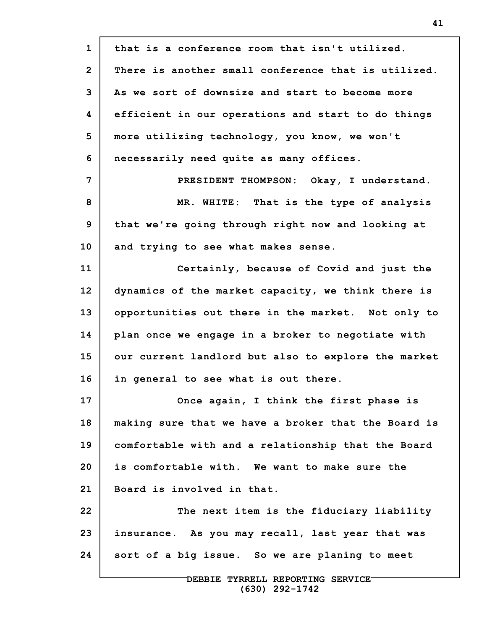| $\mathbf{1}$   | that is a conference room that isn't utilized.      |
|----------------|-----------------------------------------------------|
| $\overline{2}$ | There is another small conference that is utilized. |
| 3              | As we sort of downsize and start to become more     |
| 4              | efficient in our operations and start to do things  |
| 5              | more utilizing technology, you know, we won't       |
| 6              | necessarily need quite as many offices.             |
| 7              | PRESIDENT THOMPSON: Okay, I understand.             |
| 8              | MR. WHITE: That is the type of analysis             |
| 9              | that we're going through right now and looking at   |
| 10             | and trying to see what makes sense.                 |
| 11             | Certainly, because of Covid and just the            |
| 12             | dynamics of the market capacity, we think there is  |
| 13             | opportunities out there in the market. Not only to  |
| 14             | plan once we engage in a broker to negotiate with   |
| 15             | our current landlord but also to explore the market |
| 16             | in general to see what is out there.                |
| 17             | Once again, I think the first phase is              |
| 18             | making sure that we have a broker that the Board is |
| 19             | comfortable with and a relationship that the Board  |
| 20             | is comfortable with. We want to make sure the       |
| 21             | Board is involved in that.                          |
| 22             | The next item is the fiduciary liability            |
| 23             | insurance. As you may recall, last year that was    |
| 24             | sort of a big issue. So we are planing to meet      |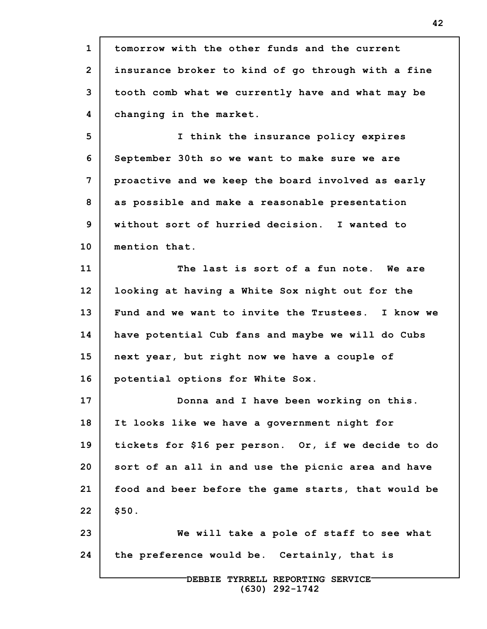**1 2 3 4 5 6 7 8 9 10 11 12 13 14 15 16 17 18 19 20 21 22 23 24 DEBBIE TYRRELL REPORTING SERVICE tomorrow with the other funds and the current insurance broker to kind of go through with a fine tooth comb what we currently have and what may be changing in the market. I think the insurance policy expires September 30th so we want to make sure we are proactive and we keep the board involved as early as possible and make a reasonable presentation without sort of hurried decision. I wanted to mention that. The last is sort of a fun note. We are looking at having a White Sox night out for the Fund and we want to invite the Trustees. I know we have potential Cub fans and maybe we will do Cubs next year, but right now we have a couple of potential options for White Sox. Donna and I have been working on this. It looks like we have a government night for tickets for \$16 per person. Or, if we decide to do sort of an all in and use the picnic area and have food and beer before the game starts, that would be \$50. We will take a pole of staff to see what the preference would be. Certainly, that is**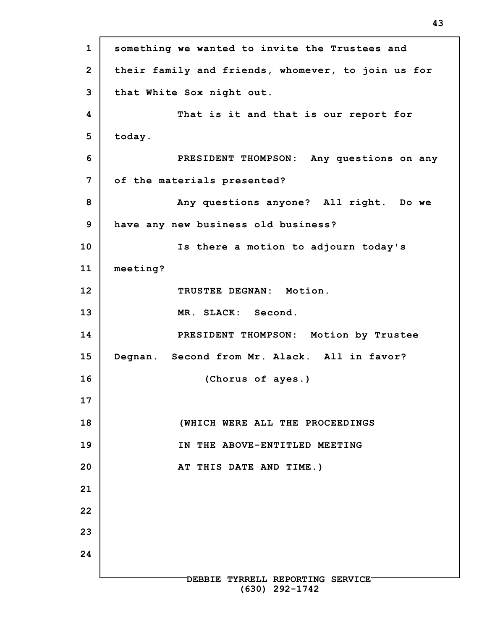**1 2 3 4 5 6 7 8 9 10 11 12 13 14 15 16 17 18 19 20 21 22 23 24 DEBBIE TYRRELL REPORTING SERVICE (630) 292-1742 something we wanted to invite the Trustees and their family and friends, whomever, to join us for that White Sox night out. That is it and that is our report for today. PRESIDENT THOMPSON: Any questions on any of the materials presented? Any questions anyone? All right. Do we have any new business old business? Is there a motion to adjourn today's meeting? TRUSTEE DEGNAN: Motion. MR. SLACK: Second. PRESIDENT THOMPSON: Motion by Trustee Degnan. Second from Mr. Alack. All in favor? (Chorus of ayes.) (WHICH WERE ALL THE PROCEEDINGS IN THE ABOVE-ENTITLED MEETING AT THIS DATE AND TIME.)**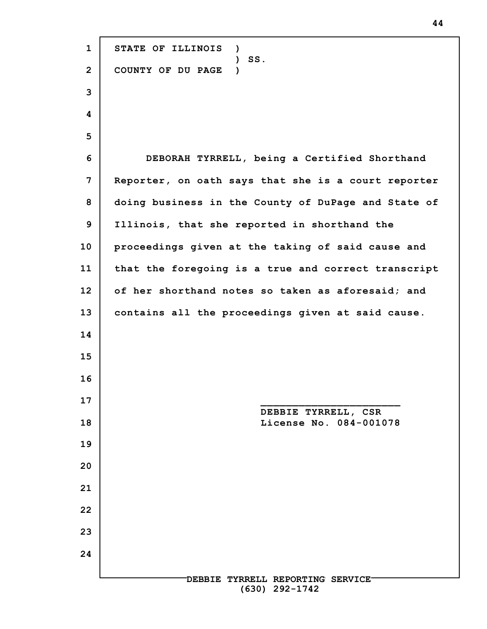**DEBBIE TYRRELL REPORTING SERVICE (630) 292-1742 STATE OF ILLINOIS ) ) SS. COUNTY OF DU PAGE ) DEBORAH TYRRELL, being a Certified Shorthand Reporter, on oath says that she is a court reporter doing business in the County of DuPage and State of Illinois, that she reported in shorthand the proceedings given at the taking of said cause and that the foregoing is a true and correct transcript of her shorthand notes so taken as aforesaid; and contains all the proceedings given at said cause. \_\_\_\_\_\_\_\_\_\_\_\_\_\_\_\_\_\_\_\_\_\_ DEBBIE TYRRELL, CSR License No. 084-001078**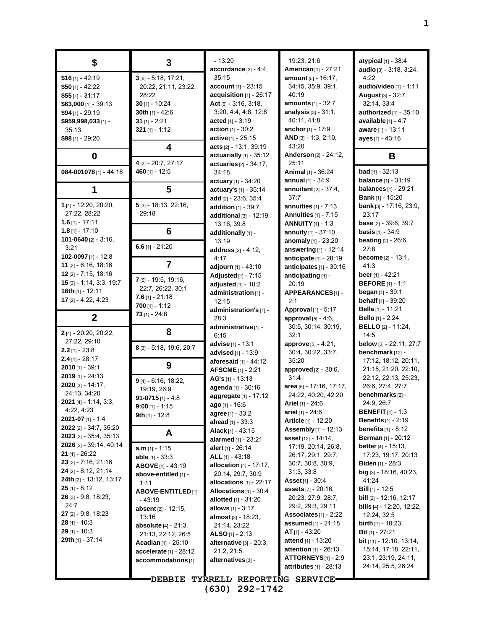| S                                     | 3                              | - 13:20                                              | 19:23, 21:6                                      |
|---------------------------------------|--------------------------------|------------------------------------------------------|--------------------------------------------------|
|                                       |                                | $accordance$ $[2] - 4:4,$                            | American [1] - 27:2                              |
| $$16$ [1] - 42:19                     | $3$ [6] - 5:18, 17:21,         | 35:15                                                | amount [5] - 16:17,                              |
| $$50$ [1] - 42:22                     | 20:22, 21:11, 23:22,           | account [1] - 23:15                                  | 34:15, 35:9, 39:1,                               |
| $$55$ [1] - 31:17                     | 28:22                          | acquisition [1] - 26:17                              | 40:19                                            |
| \$63,000 [1] - 39:13                  | $30$ [1] - 10:24               | $Act$ [6] - 3:16, 3:18,                              | <b>amounts</b> $[1]$ - 32:7                      |
| \$94 [1] - 29:19                      | 30th [1] - 42:6                | 3:20, 4:4, 4:8, 12:8                                 | analysis $[3] - 31:1$ ,<br>40:11, 41:8           |
| \$959,998,033 [1] -                   | $31$ [1] - 2:21                | <b>acted</b> [1] - 3:19                              |                                                  |
| 35:13                                 | $321$ [1] - 1:12               | <b>action</b> $[1]$ - 30:2                           | <b>anchor</b> [1] - 17:9<br>AND [3] - 1:3, 2:10, |
| \$98 [1] - 29:20                      |                                | active [1] - 25:15                                   | 43:20                                            |
|                                       | 4                              | acts [2] - 13:1, 39:19<br>actuarially [1] - 35:12    | <b>Anderson</b> [2] - 24:1                       |
| 0                                     | 4 [2] - 20:7, 27:17            | actuaries [2] - 34:17,                               | 25.11                                            |
| 084-001078[1] - 44:18                 | 460 $[1] - 12:5$               | 34:18                                                | <b>Animal</b> $[1]$ - 36:24                      |
|                                       |                                | <b>actuary</b> [1] - 34:20                           | <b>annual</b> $[1] - 34.9$                       |
| 1                                     | 5                              | actuary's [1] - 35:14                                | <b>annuitant</b> $[2] - 37:4$                    |
|                                       |                                | add [2] - 23:6, 35:4                                 | 37:7                                             |
| 1 [4] - 12:20, 20:20,                 | 5 [3] - 18:13, 22:16,          | addition $[1] - 39.7$                                | <b>annuities</b> $[1]$ - 7:13                    |
| 27:22, 28:22                          | 29:18                          | additional [3] - 12:19,                              | <b>Annuities</b> [1] - 7:15                      |
| 1.6 $[1]$ - 17:11                     |                                | 13:16, 39:8                                          | <b>ANNUITY</b> [1] - 1:3                         |
| $1.8$ [1] - 17:10                     | 6                              | additionally [1] -                                   | annuity $[1] - 37:10$                            |
| 101-0640 [2] - 3:16,                  |                                | 13:19                                                | anomaly [1] - 23:20                              |
| 3:21                                  | $6.6$ [1] - 21:20              | address [2] - 4:12,                                  | answering [1] - 12:                              |
| 102-0097 [1] - 12:8                   |                                | 4:17                                                 | anticipate [1] - 28:1                            |
| $11$ [2] - 6:16, 18:16                | 7                              | <b>adjourn</b> [1] - 43:10                           | anticipates [1] - 30:                            |
| $12$ [2] - 7:15, 18:16                |                                | Adjusted [1] - 7:15                                  | anticipating [1] -                               |
| $15$ [3] - 1:14, 3:3, 19:7            | 7 [5] - 19:5, 19:16,           | adjusted [1] - 10:2                                  | 20:19                                            |
| 16th [1] - 12:11                      | 22:7, 26:22, 30:1              | administration [1] -                                 | <b>APPEARANCES[1]</b>                            |
| 17 [2] - 4:22, 4:23                   | <b>7.6</b> [1] - 21:18         | 12:15                                                | 2:1                                              |
|                                       | $700$ [1] - 1:12               | administration's [1] -                               | <b>Approval</b> [1] - 5:17                       |
| $\mathbf{2}$                          | $73$ [1] - 24:8                | 28:3                                                 | approval $[5] - 4:6$ ,                           |
|                                       | 8                              | administrative [1] -                                 | 30:5, 30:14, 30:19                               |
| 2 [4] - 20:20, 20:22,                 |                                | 6:15                                                 | 32:1                                             |
| 27:22, 29:10                          | 8 [3] - 5:18, 19:6, 20:7       | <b>advise</b> [1] - 13:1                             | <b>approve</b> $[5] - 4.21$ ,                    |
| $2.2$ [1] - 23:8<br>$2.4$ [1] - 28:17 |                                | advised [1] - 13:9                                   | 30:4, 30:22, 33:7,                               |
| $2010$ [1] - 39:1                     | 9                              | aforesaid [1] - 44:12                                | 35:20                                            |
| $2019$ [1] - 24:13                    |                                | <b>AFSCME</b> [1] - 2:21                             | approved [2] - 30:6,<br>31:4                     |
| 2020 [3] - 14:17,                     | 9 [4] - 6:16, 18:22,           | $AG's$ [1] - 13:13                                   | area [5] - 17:16, 17:                            |
| 24:13, 34:20                          | 19:19, 26:9                    | agenda [1] - 30:16                                   | 24:22, 40:20, 42:2                               |
| <b>2021</b> [4] - 1:14, 3:3,          | 91-0715 $[1] - 4.8$            | aggregate [1] - 17:12                                | <b>Ariel</b> [1] - 24:6                          |
| 4.22, 4.23                            | 9:00 [1] - 1:15                | ago [1] - 16:6                                       | <b>ariel</b> [1] - 24:6                          |
| 2021-07 $[1]$ - 1:4                   | 9th [1] - 12:8                 | <b>agree</b> [1] - 33:2<br><b>ahead</b> $[1]$ - 33:3 | <b>Article</b> [1] - 12:20                       |
| 2022 [2] - 34:7, 35:20                |                                | <b>Alack</b> [1] - 43:15                             | <b>Assembly</b> [1] - 12:1                       |
| $2023$ [2] - 35:4, 35:13              | A                              | alarmed [1] - 23:21                                  | <b>asset</b> [12] - 14:14,                       |
| 2026 [2] - 39:14, 40:14               | <b>a.m</b> [1] - 1:15          | <b>alert</b> [1] - 26:14                             | 17:19, 20:14, 26:8                               |
| 21 $[1] - 26:22$                      | <b>able</b> $[1]$ - 33:3       | ALL $[1] - 43:18$                                    | 26:17, 29:1, 29:7,                               |
| $23$ [2] - 7:16, 21:16                | <b>ABOVE</b> [1] - 43:19       | allocation $[4] - 17:17$ ,                           | 30.7, 30.8, 30.9,                                |
| $24$ [2] - 8:12, 21:14                | above-entitled [1] -           | 20:14, 29:7, 30:9                                    | 31.3, 33.8                                       |
| 24th [2] - 13:12, 13:17               | 1:11                           | allocations [1] - 22:17                              | <b>Asset</b> [1] - 30:4                          |
| $25$ [1] - 8:12                       | <b>ABOVE-ENTITLED</b> [1]      | Allocations $[1]$ - 30:4                             | <b>assets</b> [7] - 20:16,                       |
| $26$ [3] - 9:8, 18:23,                | - 43:19                        | <b>allotted</b> $[1]$ - 31:20                        | 20:23, 27:9, 28:7,                               |
| 24:7                                  | <b>absent</b> $[2] - 12:15$ ,  | <b>allows</b> $[1] - 3:17$                           | 29.2, 29.3, 29.11                                |
| <b>27</b> [2] - 9:8, 18:23            | 13:16                          | <b>almost</b> [3] - 18:23,                           | Associates [1] - 2:2                             |
| <b>28</b> [1] - 10:3                  | <b>absolute</b> $[4] - 21:3$ , | 21:14, 23:22                                         | <b>assumed</b> $[1]$ - 21:18                     |
| $29$ [1] - 10:3                       | 21:13, 22:12, 26:5             | <b>ALSO</b> [1] - 2:13                               | $AT_{[1]} - 43:20$                               |
| 29th [1] - 37:14                      | <b>Acadian</b> $[1]$ - 25:10   | alternative $[3]$ - $20.3$ ,                         | <b>attend</b> [1] - 13:20                        |
|                                       | accelerate [1] - 28:12         | 21:2, 21:5                                           | attention [1] - 26:13                            |
|                                       | accommodations [1]             | alternatives [3] -                                   | $ATTORNEYS$ [1] - 2                              |
|                                       |                                |                                                      | attributes $[1]$ - 28:1                          |
|                                       |                                | DEBBIE TYRRELL REPORTING SERVICE-                    |                                                  |

**(630) 292-1742**

19:23, 21:6 **American**[1] - 27:21 **amount** [5] - 16:17, 34:15, 35:9, 39:1, 40:19 **amounts** [1] - 32:7 **analysis** [3] - 31:1, 40:11, 41:8 **anchor**[1] - 17:9 **AND** [3] - 1:3, 2:10, 43:20 **Anderson** [2] - 24:12, 25:11 **Animal** [1] - 36:24 **annual** [1] - 34:9 **annuitant** [2] - 37:4, 37:7 **annuities** [1] - 7:13 **Annuities** [1] - 7:15 **ANNUITY**[1] - 1:3 **annuity** [1] - 37:10 **anomaly** [1] - 23:20 **answering** [1] - 12:14 **anticipate** [1] - 28:19 **anticipates** [1] - 30:16 **anticipating** [1] - 20:19 **APPEARANCES**[1] - 2:1 **Approval** [1] - 5:17 **approval** [5] - 4:6, 30:5, 30:14, 30:19, 32:1 **approve** [5] - 4:21, 30:4, 30:22, 33:7, 35:20 **approved** [2] - 30:6, 31:4 **area** [5] - 17:16, 17:17, 24:22, 40:20, 42:20 **Ariel** [1] - 24:6 **ariel** [1] - 24:6 **Article** [1] - 12:20 **Assembly**[1] - 12:13 **asset** [12] - 14:14, 17:19, 20:14, 26:8, 26:17, 29:1, 29:7, 30:7, 30:8, 30:9, 31:3, 33:8 **Asset**[1] - 30:4 **assets** [7] - 20:16, 20:23, 27:9, 28:7, 29:2, 29:3, 29:11 **Associates** [1] - 2:22 **assumed** [1] - 21:18 **AT** [1] - 43:20 **attend** [1] - 13:20 **attention** [1] - 26:13 **ATTORNEYS**[1] - 2:9 **attributes** [1] - 28:13

**atypical** [1] - 38:4 **audio** [3] - 3:18, 3:24, 4:22 **audio/video** [1] - 1:11 **August** [3] - 32:7, 32:14, 33:4 **authorized** [1] - 35:10 **available** [1] - 4:7 **aware** [1] - 13:11 **ayes** [1] - 43:16 **B bad** [1] - 32:13 **balance** [1] - 31:19 **balances** [1] - 29:21 **Bank** [1] - 15:20 **bank** [3] - 17:16, 23:9, 23:17 **base** [2] - 39:6, 39:7 **basis** [1] - 34:9 **beating** [2] - 26:6, 27:8 **become** [2] - 13:1, 41:3 **beer**[1] - 42:21 **BEFORE** [1] - 1:1 **began** [1] - 39:1 **behalf** [1] - 39:20 **Bella** [1] - 11:21 **Bello** [1] - 2:24 **BELLO** [2] - 11:24, 14:5 **below** [2] - 22:11, 27:7 **benchmark** [12] - 17:12, 18:12, 20:11, 21:15, 21:20, 22:10, 22:12, 22:13, 25:23, 26:6, 27:4, 27:7 **benchmarks** [2] - 24:9, 26:7 **BENEFIT** [1] - 1:3 **Benefits** [1] - 2:19 **benefits** [1] - 8:12 **Berman** [1] - 20:12 **better**[4] - 15:13, 17:23, 19:17, 20:13 **Biden** [1] - 28:3 **big** [3] - 18:16, 40:23, 41:24 **Bill** [1] - 12:5 **bill** [2] - 12:16, 12:17 **bills** [4] - 12:20, 12:22, 12:24, 32:5 **birth** [1] - 10:23 **Bit** [1] - 27:21 **bit** [11] - 12:10, 13:14, 15:14, 17:18, 22:11, 23:1, 23:19, 24:11, 24:14, 25:5, 26:24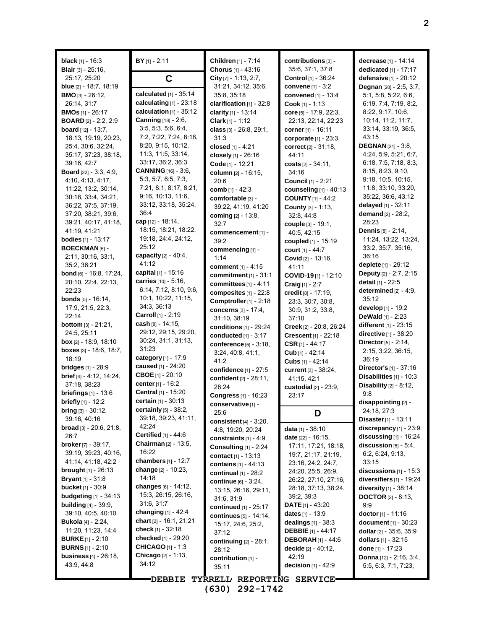**black** [1] - 16:3 **Blair** [3] - 25:16, 25:17, 25:20 **blue** [2] - 18:7, 18:19 **BMO** [3] - 26:12, 26:14, 31:7 **BMOs** [1] - 26:17 **BOARD** [2] - 2:2, 2:9 **board** [12] - 13:7, 18:13, 19:19, 20:23, 25:4, 30:6, 32:24, 35:17, 37:23, 38:18, 39:16, 42:7 **Board** [22] - 3:3, 4:9, 4:10, 4:13, 4:17, 11:22, 13:2, 30:14, 30:18, 33:4, 34:21, 36:22, 37:5, 37:19, 37:20, 38:21, 39:6, 39:21, 40:17, 41:18, 41:19, 41:21 **bodies** [1] - 13:17 **BOECKMAN** [5] - 2:11, 30:16, 33:1, 35:2, 36:21 **bond** [6] - 16:8, 17:24, 20:10, 22:4, 22:13, 22:23 **bonds** [5] - 16:14, 17:9, 21:5, 22:3, 22:14 **bottom** [3] - 21:21, 24:5, 25:11 **box** [2] - 18:9, 18:10 **boxes** [3] - 18:6, 18:7, 18:19 **bridges** [1] - 28:9 **brief** [4] - 4:12, 14:24, 37:18, 38:23 **briefings** [1] - 13:6 **briefly** [1] - 12:2 **bring** [3] - 30:12, 39:16, 40:16 **broad** [3] - 20:6, 21:8, 26:7 **broker**[7] - 39:17, 39:19, 39:23, 40:16, 41:14, 41:18, 42:2 **brought** [1] - 26:13 **Bryant**[1] - 31:8 **bucket** [1] - 30:9 **budgeting** [1] - 34:13 **building** [4] - 39:9, 39:10, 40:5, 40:10 **Bukola** [4] - 2:24, 11:20, 11:23, 14:4 **BURKE** [1] - 2:10 **BURNS** [1] - 2:10 **business** [4] - 26:18, 43:9, 44:8 **BY** [1] - 2:11 **C calculated** [1] - 35:14 **calculating** [1] - 23:18 **calculation** [1] - 35:12 **Canning** [18] - 2:6, 3:5, 5:3, 5:6, 6:4, 7:2, 7:22, 7:24, 8:18, 8:20, 9:15, 10:12, 11:3, 11:5, 33:14, 33:17, 36:2, 36:3 **CANNING** [16] - 3:6, 5:3, 5:7, 6:5, 7:3, 7:21, 8:1, 8:17, 8:21, 9:16, 10:13, 11:6, 33:12, 33:18, 35:24, 36:4 **cap** [12] - 18:14, 18:15, 18:21, 18:22, 19:18, 24:4, 24:12, 25:12 **capacity** [2] - 40:4, 41:12 **capital** [1] - 15:16 **carries** [10] - 5:16, 6:14, 7:12, 8:10, 9:6, 10:1, 10:22, 11:15, 34:3, 36:13 **Carroll** [1] - 2:19 **cash** [8] - 14:15, 29:12, 29:15, 29:20, 30:24, 31:1, 31:13, 31:23 **category** [1] - 17:9 **caused** [1] - 24:20 **CBOE** [1] - 20:10 **center**[1] - 16:2 **Central** [1] - 15:20 **certain** [1] - 30:13 **certainly** [5] - 38:2, 39:18, 39:23, 41:11, 42:24 **Certified** [1] - 44:6 **Chairman** [2] - 13:5, 16:22 **chambers** [1] - 12:7 **change** [2] - 10:23, 14:18 **changes** [6] - 14:12, 15:3, 26:15, 26:16, 31:6, 31:7 **changing** [1] - 42:4 **chart** [2] - 16:1, 21:21 **check** [1] - 32:18 **checked** [1] - 29:20 **CHICAGO** [1] - 1:3 **Chicago** [2] - 1:13, 34:12 **Children** [1] - 7:14 **Chorus** [1] - 43:16 **City** [7] - 1:13, 2:7, 31:21, 34:12, 35:6, 35:8, 35:18 **clarification** [1] - 32:8 **clarity** [1] - 13:14 **Clark** [1] - 1:12 **class** [3] - 26:8, 29:1, 31:3 **closed** [1] - 4:21 **closely** [1] - 26:16 **Code** [1] - 12:21 **column** [2] - 16:15, 20:6 **comb** [1] - 42:3 **comfortable** [3] - 39:22, 41:19, 41:20 **coming** [2] - 13:8, 32:7 **commencement**[1] - 39:2 **commencing** [1] - 1:14 **comment** [1] - 4:15 **commitment** [1] - 31:1 **committees** [1] - 4:11 **composites** [1] - 22:8 **Comptroller**[1] - 2:18 **concerns** [3] - 17:4, 31:10, 38:19 **conditions** [1] - 29:24 **conducted** [1] - 3:17 **conference** [5] - 3:18, 3:24, 40:8, 41:1, 41:2 **confidence** [1] - 27:5 **confident** [2] - 28:11, 28:24 **Congress** [1] - 16:23 **conservative**[1] - 25:6 **consistent** [4] - 3:20, 4:8, 19:20, 20:24 **constraints** [1] - 4:9 **Consulting** [1] - 2:24 **contact** [1] - 13:13 **contains** [1] - 44:13 **continual** [1] - 28:2 **continue** [6] - 3:24, 13:15, 26:16, 29:11, 31:6, 31:9 **continued** [1] - 25:17 **continues** [5] - 14:14, 15:17, 24:6, 25:2, 37:12 **continuing** [2] - 28:1, 28:12 **contribution** [1] - 35:11 **contributions** [3] - 35:6, 37:1, 37:8 **Control** [1] - 36:24 **convene** [1] - 3:2 **convened** [1] - 13:4 **Cook** [1] - 1:13 **core** [5] - 17:9, 22:3, 22:13, 22:14, 22:23 **corner**[1] - 16:11 **corporate** [1] - 23:3 **correct** [2] - 31:18, 44:11 **costs** [2] - 34:11, 34:16 **Council** [1] - 2:21 **counseling** [1] - 40:13 **COUNTY** [1] - 44:2 **County** [3] - 1:13, 32:8, 44:8 **couple** [3] - 19:1, 40:5, 42:15 **coupled** [1] - 15:19 **court** [1] - 44:7 **Covid** [2] - 13:16, 41:11 **COVID-19** [1] - 12:10 **Craig** [1] - 2:7 **credit** [8] - 17:19, 23:3, 30:7, 30:8, 30:9, 31:2, 33:8, 37:10 **Creek** [2] - 20:8, 26:24 **Crescent** [1] - 22:18 **CSR** [1] - 44:17 **Cub** [1] - 42:14 **Cubs** [1] - 42:14 **current** [3] - 38:24, 41:15, 42:1 **custodial** [2] - 23:9, 23:17 **D data** [1] - 38:10 **date** [22] - 16:15, 17:11, 17:21, 18:18, 19:7, 21:17, 21:19, 23:16, 24:2, 24:7, 24:20, 25:5, 26:9, 26:22, 27:10, 27:16, 28:18, 37:13, 38:24, 39:2, 39:3 **DATE**[1] - 43:20 **dates** [1] - 13:9 **dealings** [1] - 38:3 **DEBBIE** [1] - 44:17 **DEBORAH** [1] - 44:6 **decide** [2] - 40:12, 42:19 **decision** [1] - 42:9 **decrease** [1] - 14:14 **dedicated** [1] - 17:17 **defensive** [1] - 20:12 **Degnan** [20] - 2:5, 3:7, 5:1, 5:8, 5:22, 6:6, 6:19, 7:4, 7:19, 8:2, 8:22, 9:17, 10:6, 10:14, 11:2, 11:7, 33:14, 33:19, 36:5, 43:15 **DEGNAN** [21] - 3:8, 4:24, 5:9, 5:21, 6:7, 6:18, 7:5, 7:18, 8:3, 8:15, 8:23, 9:10, 9:18, 10:5, 10:15, 11:8, 33:10, 33:20, 35:22, 36:6, 43:12 **delayed** [1] - 32:11 **demand** [2] - 28:2, 28:23 **Dennis** [8] - 2:14, 11:24, 13:22, 13:24, 33:2, 35:7, 35:16, 36:16 **deplete** [1] - 29:12 **Deputy** [2] - 2:7, 2:15 **detail** [1] - 22:5 **determined** [2] - 4:9, 35:12 **develop** [1] - 19:2 **DeWald** [1] - 2:23 **different** [1] - 23:15 **directive** [1] - 38:20 **Director**[5] - 2:14, 2:15, 3:22, 36:15, 36:19 **Director's** [1] - 37:16 **Disabilities** [1] - 10:3 **Disability** [2] - 8:12, 9:8 **disappointing** [2] - 24:18, 27:3 **Disaster**[1] - 13:11 **discrepancy** [1] - 23:9 **discussing** [1] - 16:24 **discussion** [5] - 5:4, 6:2, 6:24, 9:13, 33:15 **discussions** [1] - 15:3 **diversifiers** [1] - 19:24 **diversity** [1] - 38:14 **DOCTOR** [2] - 8:13, 9:9 **doctor** [1] - 11:16 **document** [1] - 30:23 **dollar** [2] - 35:6, 35:9 **dollars** [1] - 32:15 **done** [1] - 17:23 **Donna** [12] - 2:16, 3:4, 5:5, 6:3, 7:1, 7:23,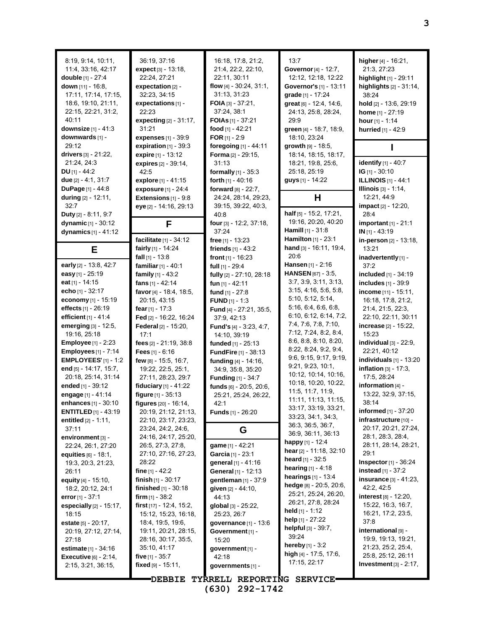| 8:19, 9:14, 10:11,<br>11:4, 33:16, 42:17<br>double [1] - 27:4<br>down $[11] - 16.8$ ,<br>17:11, 17:14, 17:15,<br>18:6, 19:10, 21:11,<br>22:15, 22:21, 31:2,<br>40:11<br>downsize $[1] - 41:3$<br>downwards [1] - | 36:19, 37:16<br>expect [3] - 13:18,<br>22:24.27:21<br>expectation [2] -<br>32:23, 34:15<br>expectations [1] -<br>22:23<br>expecting [2] - 31:17,<br>31:21<br>expenses [1] - 39:9 | 16:18, 17:8, 21:2,<br>21:4, 22:2, 22:10,<br>22:11, 30:11<br>flow $[4] - 30.24$ , $31.1$ ,<br>31:13, 31:23<br>FOIA $[3] - 37:21$ ,<br>37:24, 38:1<br><b>FOIAs</b> [1] - 37:21<br>food $[1] - 42:21$<br>FOR $[1]$ - 2:9 | 13:7<br>Governor [4] - 12:7,<br>12:12, 12:18, 12:22<br>Governor's [1] - 13:11<br>grade [1] - 17:24<br>great [6] - 12:4, 14:6,<br>24:13, 25:8, 28:24,<br>29.9<br>green [4] - 18:7, 18:9,<br>18:10, 23:24 | higher [4] - 16:21,<br>21:3, 27:23<br>highlight [1] - 29:11<br>highlights $[2] - 31:14$ ,<br>38:24<br>hold [2] - 13:6, 29:19<br>home [1] - 27:19<br>hour $[1] - 1:14$<br>hurried [1] - 42:9 |
|------------------------------------------------------------------------------------------------------------------------------------------------------------------------------------------------------------------|----------------------------------------------------------------------------------------------------------------------------------------------------------------------------------|-----------------------------------------------------------------------------------------------------------------------------------------------------------------------------------------------------------------------|---------------------------------------------------------------------------------------------------------------------------------------------------------------------------------------------------------|---------------------------------------------------------------------------------------------------------------------------------------------------------------------------------------------|
| 29:12                                                                                                                                                                                                            | expiration $[1]$ - 39:3                                                                                                                                                          | foregoing [1] - 44:11                                                                                                                                                                                                 | growth [9] - 18:5,                                                                                                                                                                                      |                                                                                                                                                                                             |
| drivers $[3] - 21:22$ ,<br>21:24, 24:3                                                                                                                                                                           | expire [1] - 13:12<br>expires [2] - 39:14,                                                                                                                                       | Forma [2] - 29:15,<br>31:13                                                                                                                                                                                           | 18:14, 18:15, 18:17,<br>18:21, 19:8, 25:6,                                                                                                                                                              | identify [1] - 40:7                                                                                                                                                                         |
| $DU$ [1] - 44:2                                                                                                                                                                                                  | 42.5                                                                                                                                                                             | formally [1] - 35:3                                                                                                                                                                                                   | 25:18, 25:19                                                                                                                                                                                            | $IG$ [1] - 30:10                                                                                                                                                                            |
| due [2] - 4:1, 31:7                                                                                                                                                                                              | explore [1] - 41:15                                                                                                                                                              | forth $[1] - 40:16$                                                                                                                                                                                                   | guys [1] - 14:22                                                                                                                                                                                        | <b>ILLINOIS</b> [1] - 44:1                                                                                                                                                                  |
| DuPage [1] - 44:8                                                                                                                                                                                                | exposure $[1] - 24:4$                                                                                                                                                            | forward [8] - 22:7,                                                                                                                                                                                                   |                                                                                                                                                                                                         | <b>Illinois</b> [3] - 1:14,                                                                                                                                                                 |
| during [2] - 12:11,                                                                                                                                                                                              | Extensions $[1]$ - $9.8$                                                                                                                                                         | 24:24, 28:14, 29:23,                                                                                                                                                                                                  | Н                                                                                                                                                                                                       | 12:21, 44:9                                                                                                                                                                                 |
| 32:7                                                                                                                                                                                                             | eye [2] - 14:16, 29:13                                                                                                                                                           | 39:15, 39:22, 40:3,                                                                                                                                                                                                   |                                                                                                                                                                                                         | <b>impact</b> $[2] - 12:20$ ,                                                                                                                                                               |
| Duty [2] - 8:11, 9:7                                                                                                                                                                                             |                                                                                                                                                                                  | 40:8                                                                                                                                                                                                                  | half [5] - 15:2, 17:21,                                                                                                                                                                                 | 28:4                                                                                                                                                                                        |
| dynamic [1] - 30:12                                                                                                                                                                                              | F                                                                                                                                                                                | four [3] - 12:2, 37:18,                                                                                                                                                                                               | 19:16, 20:20, 40:20                                                                                                                                                                                     | important $[1]$ - 21:1                                                                                                                                                                      |
| dynamics $[1] - 41:12$                                                                                                                                                                                           |                                                                                                                                                                                  | 37:24                                                                                                                                                                                                                 | Hamill [1] - 31:8<br>Hamilton [1] - 23:1                                                                                                                                                                | $IN$ [1] - 43:19                                                                                                                                                                            |
|                                                                                                                                                                                                                  | facilitate [1] - 34:12<br>fairly [1] - 14:24                                                                                                                                     | free $[1] - 13:23$<br>friends $[1] - 43:2$                                                                                                                                                                            | hand [3] - 16:11, 19:4,                                                                                                                                                                                 | in-person [2] - 13:18,<br>13:21                                                                                                                                                             |
| Е                                                                                                                                                                                                                | fall $[1]$ - 13:8                                                                                                                                                                | front $[1]$ - 16:23                                                                                                                                                                                                   | 20:6                                                                                                                                                                                                    | inadvertently [1] -                                                                                                                                                                         |
| early [2] - 13:8, 42:7                                                                                                                                                                                           | familiar [1] - 40:1                                                                                                                                                              | full $[1]$ - 29:4                                                                                                                                                                                                     | Hansen [1] - 2:16                                                                                                                                                                                       | 37:2                                                                                                                                                                                        |
| easy [1] - 25:19                                                                                                                                                                                                 | family $[1] - 43:2$                                                                                                                                                              | fully [2] - 27:10, 28:18                                                                                                                                                                                              | HANSEN [67] - 3:5,                                                                                                                                                                                      | included [1] - 34:19                                                                                                                                                                        |
| eat $[1] - 14:15$                                                                                                                                                                                                | fans $[1] - 42:14$                                                                                                                                                               | fun $[1] - 42:11$                                                                                                                                                                                                     | 3:7, 3:9, 3:11, 3:13,                                                                                                                                                                                   | includes [1] - 39:9                                                                                                                                                                         |
| echo $[1]$ - 32:17                                                                                                                                                                                               | favor [4] - 18:4, 18:5,                                                                                                                                                          | fund $[1] - 27:8$                                                                                                                                                                                                     | 3:15, 4:16, 5:6, 5:8,                                                                                                                                                                                   | income $[11] - 15:11$ ,                                                                                                                                                                     |
| economy [1] - 15:19                                                                                                                                                                                              | 20:15, 43:15                                                                                                                                                                     | <b>FUND</b> $[1] - 1:3$                                                                                                                                                                                               | 5:10, 5:12, 5:14,                                                                                                                                                                                       | 16:18, 17:8, 21:2,                                                                                                                                                                          |
| effects [1] - 26:19                                                                                                                                                                                              | fear $[1] - 17:3$                                                                                                                                                                | Fund [4] - 27:21, 35:5,                                                                                                                                                                                               | 5:16, 6:4, 6:6, 6:8,                                                                                                                                                                                    | 21:4, 21:5, 22:3,                                                                                                                                                                           |
| efficient $[1] - 41.4$                                                                                                                                                                                           | Fed [2] - 16:22, 16:24                                                                                                                                                           | 37:9, 42:13                                                                                                                                                                                                           | 6:10, 6:12, 6:14, 7:2,                                                                                                                                                                                  | 22:10, 22:11, 30:11                                                                                                                                                                         |
| emerging [3] - 12:5,                                                                                                                                                                                             | Federal [2] - 15:20,                                                                                                                                                             | <b>Fund's</b> $[4] - 3:23, 4:7,$                                                                                                                                                                                      | 7:4, 7:6, 7:8, 7:10,                                                                                                                                                                                    | <b>increase</b> $[2] - 15:22$                                                                                                                                                               |
| 19:16, 25:18                                                                                                                                                                                                     | 17:1                                                                                                                                                                             | 14:10, 39:19                                                                                                                                                                                                          | 7:12, 7:24, 8:2, 8:4,<br>8:6, 8:8, 8:10, 8:20,                                                                                                                                                          | 15:23                                                                                                                                                                                       |
| <b>Employee</b> [1] - 2:23                                                                                                                                                                                       | fees [2] - 21:19, 38:8                                                                                                                                                           | funded [1] - 25:13                                                                                                                                                                                                    | 8:22, 8:24, 9:2, 9:4,                                                                                                                                                                                   | individual $[3]$ - 22:9,                                                                                                                                                                    |
| <b>Employees</b> [1] - 7:14                                                                                                                                                                                      | Fees $[1] - 6.16$                                                                                                                                                                | <b>FundFire</b> [1] - 38:13                                                                                                                                                                                           | 9:6, 9:15, 9:17, 9:19,                                                                                                                                                                                  | 22:21, 40:12<br>individuals $[1]$ - 13:20                                                                                                                                                   |
| <b>EMPLOYEES'</b> $[1] - 1:2$<br>end [5] - 14:17, 15:7,                                                                                                                                                          | few [8] - 15:5, 16:7,<br>19:22, 22:5, 25:1,                                                                                                                                      | funding [4] - 14:16,                                                                                                                                                                                                  | 9:21, 9:23, 10:1,                                                                                                                                                                                       | inflation $[3] - 17:3$ ,                                                                                                                                                                    |
| 20:18, 25:14, 31:14                                                                                                                                                                                              | 27:11, 28:23, 29:7                                                                                                                                                               | 34:9, 35:8, 35:20<br><b>Funding [1] - 34:7</b>                                                                                                                                                                        | 10:12, 10:14, 10:16,                                                                                                                                                                                    | 17:5, 28:24                                                                                                                                                                                 |
| ended $[1] - 39.12$                                                                                                                                                                                              | fiduciary [1] - 41:22                                                                                                                                                            | funds [6] - 20:5, 20:6,                                                                                                                                                                                               | 10:18, 10:20, 10:22,                                                                                                                                                                                    | information [4] -                                                                                                                                                                           |
| engage [1] - 41:14                                                                                                                                                                                               | figure [1] - 35:13                                                                                                                                                               | 25:21, 25:24, 26:22,                                                                                                                                                                                                  | 11:5, 11:7, 11:9,                                                                                                                                                                                       | 13:22, 32:9, 37:15,                                                                                                                                                                         |
| enhances [1] - 30:10                                                                                                                                                                                             | figures [20] - 16:14,                                                                                                                                                            | 42:1                                                                                                                                                                                                                  | 11:11, 11:13, 11:15,                                                                                                                                                                                    | 38:14                                                                                                                                                                                       |
| <b>ENTITLED</b> $[1] - 43:19$                                                                                                                                                                                    | 20:19, 21:12, 21:13,                                                                                                                                                             | <b>Funds</b> $[1]$ - 26:20                                                                                                                                                                                            | 33:17, 33:19, 33:21,                                                                                                                                                                                    | informed [1] - 37:20                                                                                                                                                                        |
| <b>entitled</b> $[2] - 1.11$ ,                                                                                                                                                                                   | 22:10, 23:17, 23:23,                                                                                                                                                             |                                                                                                                                                                                                                       | 33:23, 34:1, 34:3,                                                                                                                                                                                      | infrastructure [10] -                                                                                                                                                                       |
| 37:11                                                                                                                                                                                                            | 23:24, 24:2, 24:6,                                                                                                                                                               | G                                                                                                                                                                                                                     | 36:3, 36:5, 36:7,<br>36.9, 36.11, 36.13                                                                                                                                                                 | 20:17, 20:21, 27:24,                                                                                                                                                                        |
| environment [3] -                                                                                                                                                                                                | 24:16, 24:17, 25:20,                                                                                                                                                             |                                                                                                                                                                                                                       | happy $[1] - 12.4$                                                                                                                                                                                      | 28:1, 28:3, 28:4,                                                                                                                                                                           |
| 22:24, 26:1, 27:20                                                                                                                                                                                               | 26:5, 27:3, 27:8,                                                                                                                                                                | game [1] - 42:21                                                                                                                                                                                                      | hear [2] - 11:18, 32:10                                                                                                                                                                                 | 28:11, 28:14, 28:21,                                                                                                                                                                        |
| <b>equities</b> $[6] - 18:1$ ,                                                                                                                                                                                   | 27:10, 27:16, 27:23,                                                                                                                                                             | <b>Garcia</b> [1] - 23:1                                                                                                                                                                                              | <b>heard</b> [1] - 32:5                                                                                                                                                                                 | 29:1                                                                                                                                                                                        |
| 19:3, 20:3, 21:23,                                                                                                                                                                                               | 28:22                                                                                                                                                                            | general [1] - 41:16                                                                                                                                                                                                   | <b>hearing</b> $[1] - 4.18$                                                                                                                                                                             | <b>Inspector</b> $[1]$ - 36:24<br>instead [1] - 37:2                                                                                                                                        |
| 26:11<br>equity $[4] - 15:10$ ,                                                                                                                                                                                  | fine $[1] - 42:2$<br>finish $[1] - 30:17$                                                                                                                                        | General [1] - 12:13<br>gentleman [1] - 37:9                                                                                                                                                                           | <b>hearings</b> $[1] - 13.4$                                                                                                                                                                            | insurance $[3] - 41:23$ ,                                                                                                                                                                   |
| 18.2, 20.12, 24.1                                                                                                                                                                                                | <b>finished</b> $[1] - 30.18$                                                                                                                                                    | given [2] - 44:10,                                                                                                                                                                                                    | hedge [8] - 20:5, 20:6,                                                                                                                                                                                 | 42:2, 42:5                                                                                                                                                                                  |
| error $[1] - 37:1$                                                                                                                                                                                               | <b>firm</b> $[1]$ - 38:2                                                                                                                                                         | 44:13                                                                                                                                                                                                                 | 25:21, 25:24, 26:20,                                                                                                                                                                                    | <b>interest</b> $[8] - 12:20$ ,                                                                                                                                                             |
| <b>especially</b> $[2] - 15:17$ ,                                                                                                                                                                                | first $[17] - 12.4$ , 15.2,                                                                                                                                                      | global $[3]$ - 25:22,                                                                                                                                                                                                 | 26:21, 27:8, 28:24                                                                                                                                                                                      | 15:22, 16:3, 16:7,                                                                                                                                                                          |
| 18:15                                                                                                                                                                                                            | 15:12, 15:23, 16:18,                                                                                                                                                             | 25:23, 26:7                                                                                                                                                                                                           | held $[1]$ - 1:12                                                                                                                                                                                       | 16:21, 17:2, 23:5,                                                                                                                                                                          |
| <b>estate</b> $[5] - 20.17$ ,                                                                                                                                                                                    | 18:4, 19:5, 19:6,                                                                                                                                                                | governance [1] - 13:6                                                                                                                                                                                                 | help $[1]$ - 27:22                                                                                                                                                                                      | 37:8                                                                                                                                                                                        |
| 20:19, 27:12, 27:14,                                                                                                                                                                                             | 19:11, 20:21, 28:15,                                                                                                                                                             | Government [1] -                                                                                                                                                                                                      | helpful [3] - 39:7,                                                                                                                                                                                     | international [9] -                                                                                                                                                                         |
| 27:18                                                                                                                                                                                                            | 28:16, 30:17, 35:5,                                                                                                                                                              | 15:20                                                                                                                                                                                                                 | 39:24<br><b>hereby</b> $[1] - 3:2$                                                                                                                                                                      | 19.9, 19.13, 19:21,                                                                                                                                                                         |
| estimate [1] - 34:16                                                                                                                                                                                             | 35:10, 41:17                                                                                                                                                                     | government [1] -                                                                                                                                                                                                      | high $[4] - 17:5, 17:6,$                                                                                                                                                                                | 21:23, 25:2, 25:4,                                                                                                                                                                          |
| <b>Executive</b> $[6] - 2.14$ ,                                                                                                                                                                                  | five $[1] - 35.7$                                                                                                                                                                | 42:18                                                                                                                                                                                                                 | 17:15, 22:17                                                                                                                                                                                            | 25.8, 25.12, 26.11                                                                                                                                                                          |
| 2:15, 3:21, 36:15,                                                                                                                                                                                               | fixed [9] - 15:11,                                                                                                                                                               | governments [1] -                                                                                                                                                                                                     |                                                                                                                                                                                                         | Investment $[3] - 2:17$ ,                                                                                                                                                                   |
|                                                                                                                                                                                                                  | <b>DEBBIE</b>                                                                                                                                                                    | TYRRELL REPORTING SERVICE                                                                                                                                                                                             |                                                                                                                                                                                                         |                                                                                                                                                                                             |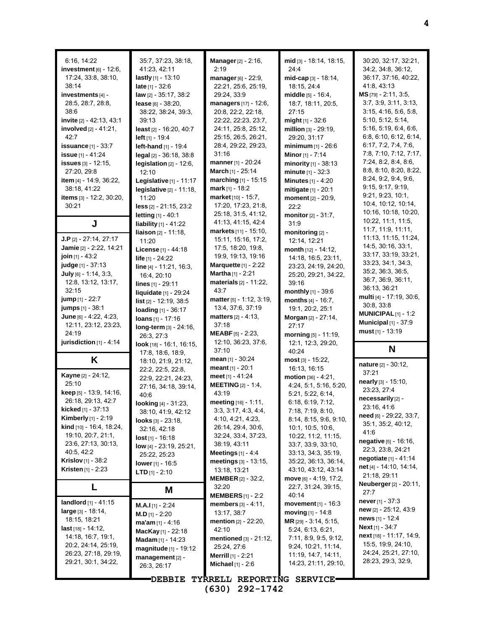| 6:16, 14:22<br>investment $[6]$ - 12:6,<br>17:24, 33:8, 38:10,<br>38:14<br>investments [4] -<br>28:5, 28:7, 28:8,<br>38:6<br>invite [2] - 42:13, 43:1<br>involved [2] - 41:21,<br>42:7<br><b>issuance</b> [1] - 33:7<br><b>issue</b> $[1] - 41.24$<br>issues [3] - 12:15,<br>27:20, 29:8<br><b>item</b> [4] - 14:9, 36:22,<br>38:18, 41:22<br><b>items</b> [3] - 12:2, 30:20,<br>30:21                                                                                                                                                                                                                 | 35.7, 37.23, 38.18,<br>41:23, 42:11<br>lastly $[1] - 13:10$<br><b>late</b> [1] - 32:6<br><b>law</b> [2] - 35:17, 38:2<br><b>lease</b> [6] - 38:20,<br>38:22, 38:24, 39:3,<br>39:13<br><b>least</b> [2] - 16:20, 40:7<br><b>left</b> [1] - 19:4<br>left-hand [1] - 19:4<br>legal [2] - 36:18, 38:8<br>legislation $[2] - 12:6$ ,<br>12:10<br>Legislative [1] - 11:17<br>legislative [2] - 11:18,<br>11:20<br>$less$ [2] - 21:15, 23:2                                                                                                                                                                                                                           | Manager [2] - 2:16,<br>2:19<br>manager $[6] - 22.9$ ,<br>22:21, 25:6, 25:19,<br>29:24, 33:9<br>managers [17] - 12:6,<br>20:8, 22:2, 22:18,<br>22:22, 22:23, 23:7,<br>24:11, 25:8, 25:12,<br>25:15, 26:5, 26:21,<br>28:4, 29:22, 29:23,<br>31:16<br><b>manner</b> [1] - 20:24<br><b>March</b> [1] - 25:14<br>marching [1] - 15:15<br>mark $[1]$ - 18:2<br>market [10] - 15:7,<br>17:20, 17:23, 21:8,                                                                                                                                                                                                                                                  | mid [3] - 18:14, 18:15,<br>24:4<br>mid-cap [3] - 18:14,<br>18:15, 24:4<br><b>middle</b> $[5] - 16:4$ ,<br>18:7, 18:11, 20:5,<br>27:15<br><b>might</b> $[1]$ - 32:6<br>million $[3] - 29:19$ ,<br>29:20, 31:17<br><b>minimum</b> $[1]$ - 26:6<br><b>Minor</b> [1] - $7:14$<br>minority $[1]$ - 38:13<br>minute $[1] - 32:3$<br><b>Minutes</b> [1] - 4:20<br>mitigate [1] - 20:1<br>moment [2] - 20:9,<br>22:2                                                                                                                                                                                                                 | 30:20, 32:17, 32:21,<br>34:2, 34:8, 36:12,<br>36:17, 37:16, 40:22,<br>41:8, 43:13<br>MS [79] - 2:11, 3:5,<br>3.7, 3.9, 3.11, 3.13,<br>3:15, 4:16, 5:6, 5:8,<br>5:10, 5:12, 5:14,<br>5:16, 5:19, 6:4, 6:6,<br>6.8, 6.10, 6.12, 6.14,<br>6:17, 7.2, 7.4, 7.6<br>7:8, 7:10, 7:12, 7:17,<br>7:24, 8:2, 8:4, 8:6,<br>8:8, 8:10, 8:20, 8:22,<br>8:24, 9.2, 9.4, 9.6<br>9:15, 9:17, 9:19,<br>9.21, 9.23, 10.1,<br>10.4, 10.12, 10:14,<br>10:16, 10:18, 10:20,                                                                                                                                      |
|--------------------------------------------------------------------------------------------------------------------------------------------------------------------------------------------------------------------------------------------------------------------------------------------------------------------------------------------------------------------------------------------------------------------------------------------------------------------------------------------------------------------------------------------------------------------------------------------------------|----------------------------------------------------------------------------------------------------------------------------------------------------------------------------------------------------------------------------------------------------------------------------------------------------------------------------------------------------------------------------------------------------------------------------------------------------------------------------------------------------------------------------------------------------------------------------------------------------------------------------------------------------------------|------------------------------------------------------------------------------------------------------------------------------------------------------------------------------------------------------------------------------------------------------------------------------------------------------------------------------------------------------------------------------------------------------------------------------------------------------------------------------------------------------------------------------------------------------------------------------------------------------------------------------------------------------|------------------------------------------------------------------------------------------------------------------------------------------------------------------------------------------------------------------------------------------------------------------------------------------------------------------------------------------------------------------------------------------------------------------------------------------------------------------------------------------------------------------------------------------------------------------------------------------------------------------------------|---------------------------------------------------------------------------------------------------------------------------------------------------------------------------------------------------------------------------------------------------------------------------------------------------------------------------------------------------------------------------------------------------------------------------------------------------------------------------------------------------------------------------------------------------------------------------------------------|
| J                                                                                                                                                                                                                                                                                                                                                                                                                                                                                                                                                                                                      | <b>letting</b> $[1] - 40:1$<br><b>liability</b> $[1] - 41:22$                                                                                                                                                                                                                                                                                                                                                                                                                                                                                                                                                                                                  | 25:18, 31:5, 41:12,<br>41:13, 41:15, 42:4                                                                                                                                                                                                                                                                                                                                                                                                                                                                                                                                                                                                            | monitor [2] - 31:7,<br>31.9                                                                                                                                                                                                                                                                                                                                                                                                                                                                                                                                                                                                  | 10:22, 11:1, 11:5,                                                                                                                                                                                                                                                                                                                                                                                                                                                                                                                                                                          |
| <b>J.P</b> [2] - 27:14, 27:17<br>Jamie [2] - 2:22, 14:21<br>join [1] - 43:2<br>judge [1] - 37:13<br>July $[6] - 1:14, 3:3,$<br>12:8, 13:12, 13:17,<br>32:15<br><b>jump</b> [1] - 22:7<br>jumps [1] - 38:1<br>June $[6] - 4.22, 4.23,$<br>12:11, 23:12, 23:23,<br>24:19<br>jurisdiction [1] - 4:14<br>K<br>Kayne [2] - 24:12,<br>25:10<br><b>keep</b> $[5]$ - 13:9, 14:16,<br>26:18, 29:13, 42:7<br><b>kicked</b> [1] - 37:13<br><b>Kimberly</b> [1] - 2:19<br>kind [10] - 16:4, 18:24,<br>19:10, 20:7, 21:1,<br>23.6, 27.13, 30.13,<br>40:5, 42:2<br>Krislov [1] - 38:2<br><b>Kristen</b> $[1]$ - 2:23 | <b>liaison</b> $[2] - 11:18$ ,<br>11:20<br>License [1] - 44:18<br>life [1] - 24:22<br>line [4] - 11:21, 16:3,<br>16:4, 20:10<br><b>lines</b> [1] - 29:11<br>liquidate [1] - 29:24<br><b>list</b> $[2] - 12:19, 38:5$<br>loading $[1] - 36:17$<br><b>loans</b> $[1] - 17:16$<br>long-term [3] - 24:16,<br>26:3, 27:3<br>look [18] - 16:1, 16:15,<br>17:8, 18:6, 18:9,<br>18:10, 21:9, 21:12,<br>22:2, 22:5, 22:8,<br>22.9, 22.21, 24.23,<br>27:16, 34:18, 39:14,<br>40:6<br>looking [4] - 31:23,<br>38:10, 41:9, 42:12<br>$looks$ [3] - $23:18$ ,<br>32.16, 42.18<br>$lost$ [1] - 16:18<br>low $[4] - 23:19, 25:21,$<br>25:22, 25:23<br><b>lower</b> [1] - 16:5 | markets [11] - 15:10,<br>15:11, 15:16, 17:2,<br>17:5, 18:20, 19:8,<br>19:9, 19:13, 19:16<br>Marquette $[1]$ - 2:22<br><b>Martha</b> $[1]$ - 2:21<br>materials [2] - 11:22,<br>43:7<br>matter [5] - 1:12, 3:19,<br>13.4, 37:6, 37:19<br><b>matters</b> $[2] - 4:13$ ,<br>37:18<br><b>MEABF</b> [5] $- 2:23$ ,<br>12:10, 36:23, 37:6,<br>37:10<br>mean $[1]$ - 30:24<br><b>meant</b> $[1] - 20:1$<br>meet $[1] - 41:24$<br><b>MEETING</b> $[2] - 1.4$ ,<br>43:19<br>meeting $[16] - 1:11$ ,<br>3:3, 3:17, 4:3, 4:4,<br>4:10, 4:21, 4:23,<br>26:14, 29:4, 30:6,<br>32:24, 33:4, 37:23,<br>38:19, 43:11<br>Meetings $[1] - 4.4$<br>meetings [3] - 13:15, | monitoring [2] -<br>12:14, 12:21<br>month $[12] - 14:12$ ,<br>14:18, 16:5, 23:11,<br>23:23, 24:19, 24:20,<br>25:20, 29:21, 34.22,<br>39:16<br><b>monthly</b> $[1]$ - 39:6<br>months $[4] - 16:7$ ,<br>19:1, 20:2, 25:1<br><b>Morgan</b> [2] - 27:14,<br>27:17<br>morning $[5] - 11:19$ ,<br>12.1, 12.3, 29.20,<br>40:24<br>$most [3] - 15:22,$<br>16:13, 16:15<br>motion $[36] - 4:21$ ,<br>4:24, 5:1, 5:16, 5:20,<br>5:21, 5:22, 6:14,<br>6:18, 6:19, 7:12,<br>7:18, 7:19, 8:10,<br>8:14, 8:15, 9:6, 9:10,<br>10:1, 10:5, 10:6,<br>10:22, 11:2, 11:15,<br>33.7, 33.9, 33.10,<br>33:13, 34:3, 35:19,<br>35:22, 36:13, 36:14, | 11:7, 11:9, 11:11,<br>11:13, 11:15, 11:24,<br>14:5, 30:16, 33:1,<br>33:17, 33:19, 33:21,<br>33:23, 34:1, 34:3,<br>35:2, 36:3, 36:5,<br>36.7, 36.9, 36.11,<br>36:13, 36:21<br>multi [4] - 17:19, 30:6,<br>30:8, 33:8<br><b>MUNICIPAL</b> $[1]$ - 1:2<br><b>Municipal</b> [1] - 37:9<br>must $[1]$ - 13:19<br>N<br>nature [2] - 30:12,<br>37:21<br>nearly [3] - 15:10,<br>23:23, 27:4<br>necessarily [2] -<br>23:16, 41:6<br>need [6] - 29.22, 33:7,<br>35:1, 35:2, 40:12,<br>41:6<br>negative [5] - 16:16,<br>22:3, 23:8, 24:21<br><b>negotiate</b> $[1] - 41.14$<br>net [4] - 14:10, 14:14, |
| L                                                                                                                                                                                                                                                                                                                                                                                                                                                                                                                                                                                                      | <b>LTD</b> $[1] - 2:10$                                                                                                                                                                                                                                                                                                                                                                                                                                                                                                                                                                                                                                        | <b>MEMBER</b> [2] - 32:2,<br>32:20                                                                                                                                                                                                                                                                                                                                                                                                                                                                                                                                                                                                                   | $move$ [6] $-4:19$ , 17:2,<br>22:7, 31:24, 39:15,                                                                                                                                                                                                                                                                                                                                                                                                                                                                                                                                                                            | 21:18, 29:11<br><b>Neuberger</b> [2] - 20:11,                                                                                                                                                                                                                                                                                                                                                                                                                                                                                                                                               |
| <b>landlord</b> $[1] - 41:15$<br>$large_{[3]} - 18.14,$<br>18:15, 18:21<br><b>last</b> $[18] - 14:12$ ,<br>14:18, 16:7, 19:1,<br>20:2, 24:14, 25:19,<br>26:23, 27:18, 29:19,<br>29:21, 30:1, 34:22,                                                                                                                                                                                                                                                                                                                                                                                                    | M<br><b>M.A.I</b> [1] - $2:24$<br><b>M.D</b> [1] - 2:20<br>$ma'am [1] - 4:16$<br>MacKay [1] - 22:18<br><b>Madam</b> $[1] - 14:23$<br>magnitude [1] - 19:12<br>management [2] -<br>26:3, 26:17                                                                                                                                                                                                                                                                                                                                                                                                                                                                  | <b>MEMBERS</b> $[1]$ - 2:2<br><b>members</b> $[3] - 4:11$ ,<br>13:17, 38:7<br><b>mention</b> [2] - 22:20,<br>42:10<br>mentioned $[3] - 21:12$ ,<br>25:24, 27:6<br><b>Merrill</b> [1] - 2:21<br><b>Michael</b> $[1] - 2.6$<br><b>DEBBIE TYRRELL REPORTING SERVICE</b>                                                                                                                                                                                                                                                                                                                                                                                 | 40:14<br>movement $[1] - 16.3$<br>moving $[1] - 14.8$<br>MR [29] - 3:14, 5:15,<br>5:24, 6:13, 6:21,<br>7:11, 8:9, 9:5, 9:12,<br>9:24, 10:21, 11:14,<br>11:19, 14:7, 14:11,<br>14:23, 21:11, 29:10,                                                                                                                                                                                                                                                                                                                                                                                                                           | 27:7<br><b>never</b> [1] - 37:3<br>new [2] - 25:12, 43:9<br>news $[1]$ - 12:4<br><b>Next</b> [1] - $34:7$<br>next [18] - 11:17, 14:9,<br>15.5, 19.9, 24.10,<br>24:24, 25:21, 27:10,<br>28.23, 29.3, 32.9,                                                                                                                                                                                                                                                                                                                                                                                   |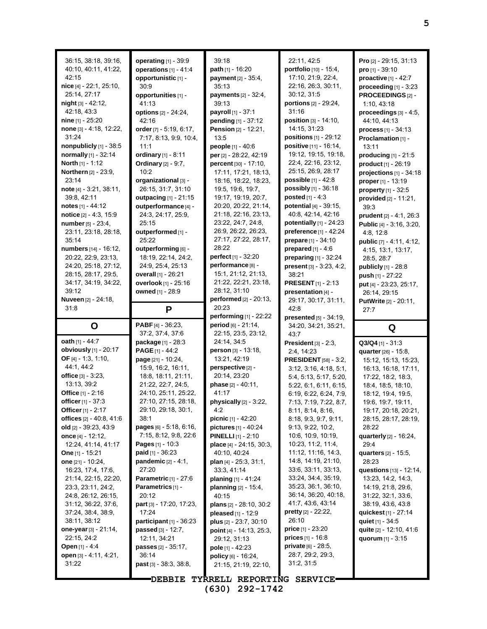| 36:15, 38:18, 39:16,<br>40:10, 40:11, 41:22,<br>42:15<br>nice [4] - 22:1, 25:10,<br>25:14, 27:17<br>$night$ [3] - 42:12,<br>42:18, 43:3<br>nine $[1]$ - 25:20<br>none [3] - 4:18, 12:22,<br>31:24<br>nonpublicly [1] - 38:5<br>normally [1] - 32:14<br>North [1] - 1:12<br>Northern [2] - 23:9,<br>23:14<br>note [4] - 3:21, 38:11,<br>39:8, 42:11<br>notes $[1] - 44:12$<br>notice [2] - 4:3, 15:9<br>number [5] - 23:4,<br>23:11, 23:18, 28:18,<br>35:14<br>numbers [14] - 16:12,<br>20:22, 22:9, 23:13,<br>24:20, 25:18, 27:12,<br>28:15, 28:17, 29:5,<br>34:17, 34:19, 34:22,<br>39:12<br>Nuveen [2] - 24:18, | operating [1] - 39:9<br>operations $[1] - 41.4$<br>opportunistic [1] -<br>30.9<br>opportunities [1] -<br>41:13<br>options [2] - 24:24,<br>42:16<br>order [7] - 5:19, 6:17,<br>7:17, 8:13, 9:9, 10:4,<br>11:1<br>ordinary [1] - 8:11<br><b>Ordinary</b> $[2] - 9:7$ ,<br>10:2<br>organizational [3] -<br>26:15, 31:7, 31:10<br>outpacing [1] - 21:15<br>outperformance [4] -<br>24:3, 24:17, 25:9,<br>25:15<br>outperformed [1] -<br>25:22<br>outperforming [6] -<br>18:19, 22:14, 24:2,<br>24:9, 25:4, 25:13<br>overall [1] - 26:21<br>overlook [1] - 25:16<br>owned [1] - 28:9 | 39:18<br>path [1] - 16:20<br>payment [2] - 35:4,<br>35:13<br>payments [2] - 32:4,<br>39:13<br>payroll [1] - 37:1<br>pending [1] - 37:12<br><b>Pension</b> [2] - 12:21,<br>13:5<br>people [1] - 40:6<br>per [2] - 28:22, 42:19<br>percent [30] - 17:10,<br>17:11, 17:21, 18:13,<br>18:16, 18:22, 18:23,<br>19:5, 19:6, 19:7,<br>19:17, 19:19, 20:7,<br>20:20, 20:22, 21:14,<br>21:18, 22:16, 23:13,<br>23:22, 24:7, 24:8,<br>26.9, 26.22, 26:23,<br>27:17, 27:22, 28:17,<br>28:22<br><b>perfect</b> $[1] - 32:20$<br>performance <sup>[8]</sup> -<br>15:1, 21:12, 21:13,<br>21:22, 22:21, 23:18,<br>28:12, 31:10<br>performed [2] - 20:13, | 22:11, 42:5<br>portfolio [10] - 15:4,<br>17:10, 21:9, 22:4,<br>22:16, 26:3, 30:11,<br>30:12, 31:5<br>portions [2] - 29:24,<br>31:16<br>position [3] - 14:10,<br>14:15, 31:23<br>positions [1] - 29:12<br>positive [11] - 16:14,<br>19:12, 19:15, 19:18,<br>22:4, 22:16, 23:12,<br>25:15, 26:9, 28:17<br><b>possible</b> $[1] - 42.8$<br>possibly [1] - 36:18<br><b>posted</b> $[1] - 4:3$<br>potential [4] - 39:15,<br>40.8, 42.14, 42.16<br>potentially [1] - 24:23<br>preference [1] - 42:24<br>prepare [1] - 34:10<br>prepared $[1] - 4.6$<br>preparing [1] - 32:24<br>present [3] - 3:23, 4:2,<br>38:21<br><b>PRESENT</b> $[1]$ - 2:13<br>presentation [4] -<br>29:17, 30:17, 31:11, | <b>Pro</b> $[2]$ - 29:15, 31:13<br><b>pro</b> [1] - 39:10<br>proactive $[1]$ - 42:7<br>proceeding $[1]$ - 3:23<br>PROCEEDINGS [2] -<br>1:10, 43:18<br>proceedings [3] - 4:5,<br>44:10, 44:13<br>$process$ [1] - 34:13<br>Proclamation [1] -<br>13:11<br>producing $[1]$ - 21:5<br>product [1] - 26:19<br>projections $[1]$ - 34:18<br>proper [1] - 13:19<br>property $[1]$ - 32:5<br>provided [2] - 11:21,<br>39.3<br>prudent [2] - 4:1, 26:3<br>Public [4] - 3:16, 3:20,<br>4:8, 12:8<br>public [7] - 4:11, 4:12,<br>4:15, 13:1, 13:17,<br>28:5, 28:7<br>publicly [1] - 28:8<br>push [1] - 27:22<br>put [4] - 23:23, 25:17,<br>26:14, 29:15<br><b>PutWrite</b> [2] - 20:11, |
|-------------------------------------------------------------------------------------------------------------------------------------------------------------------------------------------------------------------------------------------------------------------------------------------------------------------------------------------------------------------------------------------------------------------------------------------------------------------------------------------------------------------------------------------------------------------------------------------------------------------|---------------------------------------------------------------------------------------------------------------------------------------------------------------------------------------------------------------------------------------------------------------------------------------------------------------------------------------------------------------------------------------------------------------------------------------------------------------------------------------------------------------------------------------------------------------------------------|-------------------------------------------------------------------------------------------------------------------------------------------------------------------------------------------------------------------------------------------------------------------------------------------------------------------------------------------------------------------------------------------------------------------------------------------------------------------------------------------------------------------------------------------------------------------------------------------------------------------------------------------|------------------------------------------------------------------------------------------------------------------------------------------------------------------------------------------------------------------------------------------------------------------------------------------------------------------------------------------------------------------------------------------------------------------------------------------------------------------------------------------------------------------------------------------------------------------------------------------------------------------------------------------------------------------------------------------|------------------------------------------------------------------------------------------------------------------------------------------------------------------------------------------------------------------------------------------------------------------------------------------------------------------------------------------------------------------------------------------------------------------------------------------------------------------------------------------------------------------------------------------------------------------------------------------------------------------------------------------------------------------------------|
| 31.8                                                                                                                                                                                                                                                                                                                                                                                                                                                                                                                                                                                                              | P                                                                                                                                                                                                                                                                                                                                                                                                                                                                                                                                                                               | 20:23<br>performing [1] - 22:22                                                                                                                                                                                                                                                                                                                                                                                                                                                                                                                                                                                                           | 42:8                                                                                                                                                                                                                                                                                                                                                                                                                                                                                                                                                                                                                                                                                     | 27:7                                                                                                                                                                                                                                                                                                                                                                                                                                                                                                                                                                                                                                                                         |
|                                                                                                                                                                                                                                                                                                                                                                                                                                                                                                                                                                                                                   |                                                                                                                                                                                                                                                                                                                                                                                                                                                                                                                                                                                 |                                                                                                                                                                                                                                                                                                                                                                                                                                                                                                                                                                                                                                           | <b>presented</b> $[5] - 34.19$ ,                                                                                                                                                                                                                                                                                                                                                                                                                                                                                                                                                                                                                                                         |                                                                                                                                                                                                                                                                                                                                                                                                                                                                                                                                                                                                                                                                              |
| O                                                                                                                                                                                                                                                                                                                                                                                                                                                                                                                                                                                                                 | PABF [4] - 36:23,                                                                                                                                                                                                                                                                                                                                                                                                                                                                                                                                                               | period [6] - 21:14,                                                                                                                                                                                                                                                                                                                                                                                                                                                                                                                                                                                                                       | 34:20, 34:21, 35:21,                                                                                                                                                                                                                                                                                                                                                                                                                                                                                                                                                                                                                                                                     | Q                                                                                                                                                                                                                                                                                                                                                                                                                                                                                                                                                                                                                                                                            |
| oath [1] - 44:7<br>obviously [1] - 20:17<br>OF $[4] - 1.3, 1.10,$<br>44.1, 44.2<br>office $[3] - 3.23$ ,<br>13:13, 39:2<br>Office $[1] - 2.16$<br>officer [1] - 37:3<br><b>Officer</b> [1] - $2:17$<br>offices $[2] - 40.8, 41.6$<br>old $[2] - 39.23, 43.9$<br>once $[4] - 12:12$ ,<br>12:24, 41:14, 41:17<br><b>One</b> $[1]$ - 15:21<br><b>one</b> $[21] - 10:24$ ,<br>16:23, 17:4, 17:6,<br>21:14, 22:15, 22:20,<br>23.3, 23.11, 24.2,<br>24:8, 26:12, 26:15,<br>31:12, 36:22, 37:6,<br>37:24, 38:4, 38:9,<br>38:11, 38:12                                                                                    | 37:2, 37:4, 37:6<br>package [1] - 28:3<br>PAGE [1] - 44:2<br>page [21] - 10:24,<br>15:9, 16:2, 16:11,<br>18:8, 18:11, 21:11,<br>21:22, 22:7, 24:5,<br>24:10, 25:11, 25:22,<br>27:10, 27:15, 28:18,<br>29:10, 29:18, 30:1,<br>38:1<br><b>pages</b> [6] - 5:18, 6:16,<br>7:15, 8:12, 9:8, 22:6<br><b>Pages</b> $[1]$ - 10:3<br><b>paid</b> [1] - 36:23<br><b>pandemic</b> $[2] - 4:1,$<br>27:20<br><b>Parametric</b> $[1] - 27:6$<br>Parametrics <sup>[1]</sup> -<br>20:12<br><b>part</b> [3] - 17:20, 17:23,<br>17:24<br>participant $[1]$ - 36:23                               | 22:15, 23:5, 23:12,<br>24:14, 34:5<br><b>person</b> $[3] - 13:18$ ,<br>13:21, 42:19<br>perspective [2] -<br>20:14, 23:20<br>phase [2] - 40:11,<br>41:17<br>physically [2] - 3:22,<br>4:2<br><b>picnic</b> [1] - 42:20<br>pictures [1] - 40:24<br><b>PINELLI</b> $[1]$ - 2:10<br>place [4] - 24:15, 30:3,<br>40:10, 40:24<br>plan $[4]$ - 25:3, 31:1,<br>33:3, 41:14<br>planing [1] - 41:24<br><b>planning</b> $[2] - 15.4$ ,<br>40:15<br>plans $[2] - 28.10, 30.2$<br><b>pleased</b> $[1] - 12.9$<br>plus [2] - 23:7, 30:10                                                                                                               | 43.7<br>President $[3]$ - 2:3,<br>2:4, 14:23<br><b>PRESIDENT</b> [58] - 3:2,<br>3:12, 3:16, 4:18, 5:1,<br>5:4, 5:13, 5:17, 5:20,<br>5:22, 6:1, 6:11, 6:15,<br>6:19, 6:22, 6:24, 7:9,<br>7:13, 7:19, 7:22, 8:7,<br>8:11, 8:14, 8:16,<br>8:18, 9:3, 9:7, 9:11,<br>9:13, 9:22, 10:2,<br>10.6, 10.9, 10.19,<br>10:23, 11:2, 11:4,<br>11:12, 11:16, 14:3,<br>14:8, 14:19, 21:10,<br>33.6, 33.11, 33.13,<br>33:24, 34:4, 35:19,<br>35:23, 36:1, 36:10,<br>36:14, 36:20, 40:18,<br>41:7, 43:6, 43:14<br><b>pretty</b> [2] - $22:22,$<br>26:10                                                                                                                                                   | $Q3/Q4$ [1] - 31:3<br>quarter [26] - 15:8,<br>15:12, 15:13, 15:23,<br>16:13, 16:18, 17:11,<br>17:22, 18:2, 18:3,<br>18:4, 18:5, 18:10,<br>18.12, 19.4, 19.5,<br>19.6, 19.7, 19.11,<br>19:17, 20:18, 20:21,<br>28:15, 28:17, 28:19,<br>28:22<br>quarterly [2] - 16:24,<br>29.4<br><b>quarters</b> [2] - 15:5,<br>28:23<br>questions [13] - 12:14,<br>13:23, 14:2, 14:3,<br>14:19, 21:8, 29:6,<br>31:22, 32:1, 33:6,<br>38:19, 43:6, 43:8<br>quickest [1] - 27:14<br>quiet [1] - 34:5                                                                                                                                                                                          |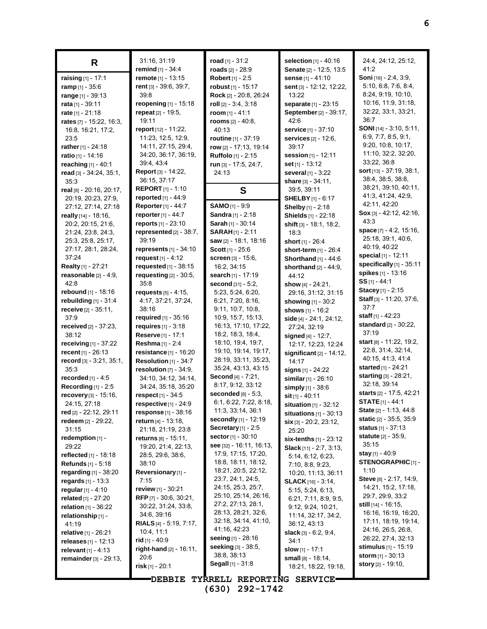| R                                           | 31:16, 31:19<br>remind [1] - 34:4 | road $[1] - 31.2$<br>roads $[2] - 28:9$                 | <b>selection</b> $[1] - 40.16$<br>Senate [2] - 12:5, 13:5 | 24:4, 24:12, 25:12,<br>41:2                        |
|---------------------------------------------|-----------------------------------|---------------------------------------------------------|-----------------------------------------------------------|----------------------------------------------------|
| raising [1] - 17:1                          | remote [1] - 13:15                | Robert [1] - 2:5                                        | sense [1] - 41:10                                         | Soni [16] - 2:4, 3:9,                              |
| ramp $[1] - 35.6$                           | rent [3] - 39:6, 39:7,            | robust [1] - 15:17                                      | sent [3] - 12:12, 12:22,                                  | 5:10, 6:8, 7:6, 8:4,                               |
| range [1] - 39:13                           | 39:8                              | Rock [2] - 20:8, 26:24                                  | 13:22                                                     | 8:24, 9:19, 10:10,                                 |
| rata [1] - 39:11                            | <b>reopening</b> $[1]$ - 15:18    | roll $[2] - 3.4, 3.18$                                  | separate [1] - 23:15                                      | 10:16, 11:9, 31:18,                                |
| rate [1] - 21:18                            | repeat $[2] - 19.5$ ,             | room $[1] - 41:1$                                       | September [2] - 39:17,                                    | 32.22, 33:1, 33:21,                                |
| rates [7] - 15:22, 16:3,                    | 19:11                             | rooms $[2] - 40.8$ ,                                    | 42.6                                                      | 36:7                                               |
| 16.8, 16:21, 17:2,                          | report [12] - 11:22,              | 40:13                                                   | service [1] - 37:10                                       | SONI [14] - 3:10, 5:11,                            |
| 23:5                                        | 11:23, 12:5, 12:9,                | routine [1] - 37:19                                     | services [2] - 12:6,                                      | 6:9, 7:7, 8:5, 9:1,                                |
| rather $[1] - 24:18$                        | 14:11, 27:15, 29:4,               | row [2] - 17:13, 19:14                                  | 39:17                                                     | 9:20, 10:8, 10:17,                                 |
| ratio [1] - 14:16                           | 34:20, 36:17, 36:19,              | <b>Ruffolo</b> [1] - 2:15                               | session [1] - 12:11                                       | 11:10, 32:2, 32:20,                                |
| reaching $[1] - 40:1$                       | 39.4, 43.4                        | run [3] - 17:5, 24:7,                                   | <b>set</b> [1] - 13:12                                    | 33:22, 36:8                                        |
| read [3] - 34:24, 35:1,                     | Report [3] - 14:22,               | 24:13                                                   | several [1] - 3:22                                        | sort [13] - 37:19, 38:1,                           |
| 35:3                                        | 36:15, 37:17                      |                                                         | share [3] - 34:11,                                        | 38:4, 38:5, 38:8,                                  |
| real [8] - 20:16, 20:17,                    | <b>REPORT</b> $[1] - 1:10$        | S                                                       | 39:5, 39:11                                               | 38:21, 39:10, 40:11,                               |
| 20:19, 20:23, 27:9,                         | <b>reported</b> $[1] - 44.9$      |                                                         | <b>SHELBY</b> [1] - 6:17                                  | 41:3, 41:24, 42:9,                                 |
| 27:12, 27:14, 27:18                         | <b>Reporter</b> [1] - 44:7        | SAMO [1] - 9:9                                          | Shelby [1] - 2:18                                         | 42:11, 42:20<br>$Sox$ [3] - 42:12, 42:16,          |
| really [14] - 18:16,                        | reporter [1] - 44:7               | <b>Sandra</b> $[1]$ - 2:18                              | Shields [1] - 22:18                                       | 43.3                                               |
| 20:2, 20:15, 21:6,                          | reports [1] - 23:10               | Sarah [1] - 30:14                                       | shift [3] - 18:1, 18:2,                                   |                                                    |
| 21:24, 23:8, 24:3,                          | represented [2] - 38:7,           | <b>SARAH[1] - 2:11</b>                                  | 18:3                                                      | space [7] - 4:2, 15:16,<br>25:18, 39:1, 40:6,      |
| 25:3, 25:8, 25:17,                          | 39:19                             | saw [2] - 18:1, 18:16                                   | short [1] - 26:4                                          | 40:19, 40:22                                       |
| 27:17, 28:1, 28:24,                         | represents $[1]$ - 34:10          | <b>Scott</b> $[1]$ - 25:6                               | short-term [1] - 26:4                                     | special [1] - 12:11                                |
| 37:24                                       | request $[1] - 4:12$              | screen [3] - 15:6,                                      | Shorthand $[1] - 44.6$                                    | specifically [1] - 35:11                           |
| Realty [1] - 27:21                          | requested [1] - 38:15             | 16:2, 34:15                                             | shorthand $[2] - 44:9$ ,                                  | spikes [1] - 13:16                                 |
| reasonable $[2] - 4.9$ ,                    | requesting $[2]$ - 30:5,          | search [1] - 17:19                                      | 44:12                                                     | $SS$ <sub>[1]</sub> - 44:1                         |
| 42:8                                        | 35:8                              | second [31] - 5:2,                                      | show $[4] - 24:21$ ,                                      | Stacey [1] - 2:15                                  |
| rebound [1] - 18:16                         | <b>requests</b> [5] - 4:15,       | 5:23, 5:24, 6:20,                                       | 29:16, 31:12, 31:15                                       | Staff [3] - 11:20, 37:6,                           |
| rebuilding $[1]$ - $31:4$                   | 4:17, 37:21, 37:24,<br>38:16      | 6.21, 7.20, 8.16,<br>9:11, 10:7, 10:8,                  | showing [1] - 30:2                                        | 37:7                                               |
| receive $[2] - 35:11$ ,<br>37:9             | required $[1] - 35:16$            | 10:9, 15:7, 15:13,                                      | shows [1] - 16:2                                          | staff [1] - 42:23                                  |
| received [2] - 37:23,                       | <b>requires</b> $[1] - 3:18$      | 16:13, 17:10, 17:22,                                    | side [4] - 24:1, 24:12,                                   | standard [2] - 30:22,                              |
| 38:12                                       | Reserve [1] - 17:1                | 18:2, 18:3, 18:4,                                       | 27:24, 32:19<br>signed [4] - 12:7,                        | 37:19                                              |
| receiving [1] - 37:22                       | Reshma [1] - 2:4                  | 18:10, 19:4, 19:7,                                      | 12:17, 12:23, 12:24                                       | start [8] - 11:22, 19:2,                           |
| recent $[1] - 26:13$                        | resistance [1] - 16:20            | 19:10, 19:14, 19:17,                                    | significant $[2] - 14:12$ ,                               | 22.8, 31.4, 32.14,                                 |
| record $[3] - 3.21, 35.1,$                  | Resolution [1] - 34:7             | 28:19, 33:11, 35:23,                                    | 14:17                                                     | 40:15, 41:3, 41:4                                  |
| 35:3                                        | resolution [7] - 34:9,            | 35:24, 43:13, 43:15                                     | signs $[1] - 24:22$                                       | started [1] - 24:21                                |
| <b>recorded</b> $[1] - 4:5$                 | 34:10, 34:12, 34:14,              | Second [4] - 7:21,                                      | similar $[1] - 26:10$                                     | starting [3] - 28:21,                              |
| Recording $[1] - 2.5$                       | 34:24, 35:18, 35:20               | 8:17, 9:12, 33:12                                       | simply [1] - 38:6                                         | 32.18, 39:14                                       |
| recovery [3] - 15:16,                       | respect [1] - 34:5                | seconded $[8]$ - 5:3,                                   | sit [1] - 40:11                                           | starts [2] - 17:5, 42:21                           |
| 24:15, 27:18                                | $respective$ [1] - 24:9           | 6:1, 6:22, 7:22, 8:18,                                  | situation [1] - 32:12                                     | <b>STATE</b> $[1]$ - 44:1                          |
| red [2] - 22:12, 29:11                      | <b>response</b> $[1]$ - 38:16     | 11:3, 33:14, 36:1                                       | situations $[1]$ - 30:13                                  | State [2] - 1:13, 44:8                             |
| redeem [2] - 29:22,                         | <b>return</b> [4] - 13:18,        | secondly [1] - 12:19                                    | $\sin$ [3] - 20.2, 23:12,                                 | static [2] - 35:5, 35:9                            |
| 31:15                                       | 21:18, 21:19, 23:8                | Secretary $[1]$ - 2:5                                   | 25:20                                                     | <b>status</b> $[1] - 37:13$<br>statute [2] - 35:9, |
| redemption $[1]$ -                          | returns $\overline{181}$ - 15:11, | <b>sector</b> $[1] - 30:10$<br>see [32] - 16:11, 16:13, | six-tenths [1] - 23:12                                    | 35:15                                              |
| 29:22                                       | 19:20, 21:4, 22:13,               | 17:9, 17:15, 17:20,                                     | <b>Slack</b> $[11] - 2.7, 3.13,$                          | stay [1] - 40:9                                    |
| reflected [1] - 18:18<br>Refunds [1] - 5:18 | 28.5, 29.6, 38.6,<br>38:10        | 18:8, 18:11, 18:12,                                     | 5:14, 6:12, 6:23,                                         | <b>STENOGRAPHIC [1] -</b>                          |
| regarding $[1] - 38.20$                     | Reversionary [1] -                | 18:21, 20:5, 22:12,                                     | 7:10, 8:8, 9:23,                                          | 1:10                                               |
| <b>regards</b> $[1] - 13:3$                 | 7:15                              | 23:7, 24:1, 24:5,                                       | 10:20, 11:13, 36:11<br><b>SLACK</b> [16] - 3:14,          | <b>Steve</b> [8] - 2:17, 14:9,                     |
| regular $[1] - 4:10$                        | review [1] - 30:21                | 24:15, 25:3, 25:7,                                      | 5:15, 5:24, 6:13,                                         | 14:21, 15:2, 17:18,                                |
| related [1] - 27:20                         | RFP $[7] - 30.6, 30.21,$          | 25:10, 25:14, 26:16,                                    | 6:21, 7:11, 8:9, 9.5,                                     | 29:7, 29:9, 33:2                                   |
| relation [1] - 36:22                        | 30:22, 31:24, 33:8,               | 27:2, 27:13, 28:1,                                      | 9:12, 9:24, 10:21,                                        | <b>still</b> [14] - 16:15,                         |
| relationship [1] -                          | 34:6, 39:16                       | 28:13, 28:21, 32:6,                                     | 11:14, 32:17, 34:2,                                       | 16:16, 16:19, 16:20,                               |
| 41:19                                       | <b>RIALS</b> [4] - 5:19, 7:17,    | 32:18, 34:14, 41:10,                                    | 36:12, 43:13                                              | 17:11, 18:19, 19:14,                               |
| <b>relative</b> $[1]$ - 26:21               | 10.4, 11.1                        | 41:16, 42:23                                            | <b>slack</b> $[3] - 6.2, 9.4,$                            | 24:16, 26:5, 26:8,                                 |
| releases $[1] - 12:13$                      | <b>rid</b> [1] - 40:9             | <b>seeing</b> [1] - 28:16                               | 34:1                                                      | 26:22, 27:4, 32:13                                 |
| relevant $[1] - 4:13$                       | right-hand [2] - 16:11,           | <b>seeking</b> [3] - 38:5,                              | slow [1] - 17:1                                           | <b>stimulus</b> $[1] - 15:19$                      |
| remainder [3] - 29:13,                      | 20:6                              | 38:8, 38:13                                             | small [8] - 18:14,                                        | <b>storm</b> $[1] - 30:13$                         |
|                                             | risk $[1]$ - 20:1                 | Segall [1] - 31:8                                       | 18:21, 18:22, 19:18,                                      | <b>story</b> [2] - 19:10,                          |
|                                             | <b>DEBBIE</b>                     | TYRRELL REPORTING SERVICE-                              |                                                           |                                                    |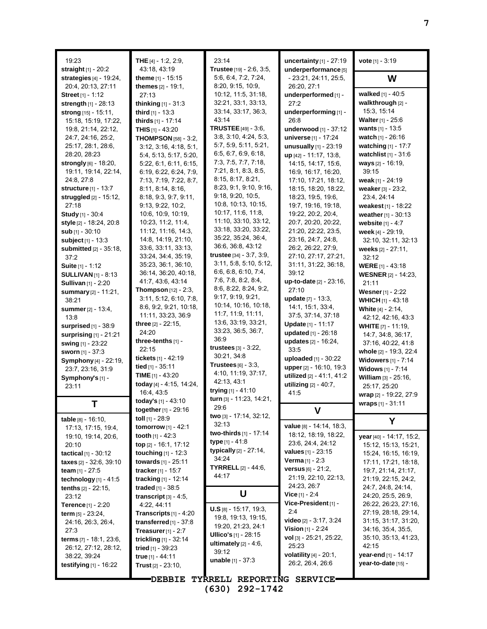| 19:23                                             | THE $[4] - 1.2, 2.9$ ,                                | 23:14                                               | uncertainty $[1]$ - 27:19                                | <b>vote</b> $[1] - 3:19$                                |
|---------------------------------------------------|-------------------------------------------------------|-----------------------------------------------------|----------------------------------------------------------|---------------------------------------------------------|
| straight [1] - 20:2<br>strategies $[4] - 19.24$ , | 43.18, 43.19<br>theme $[1] - 15:15$                   | Trustee [19] - 2:6, 3:5,<br>5:6, 6:4, 7:2, 7:24,    | underperformance <sup>[5]</sup><br>- 23:21, 24:11, 25:5, | W                                                       |
| 20:4, 20:13, 27:11                                | themes [2] - 19:1,                                    | 8:20, 9:15, 10:9,                                   | 26:20, 27:1                                              |                                                         |
| <b>Street</b> [1] - 1:12                          | 27:13                                                 | 10:12, 11:5, 31:18,                                 | underperformed [1] -                                     | walked [1] - 40:5                                       |
| strength $[1] - 28:13$                            | thinking [1] - 31:3                                   | 32:21, 33:1, 33:13,                                 | 27:2                                                     | walkthrough [2] -                                       |
| strong [15] - 15:11,                              | third $[1]$ - 13:3                                    | 33:14, 33:17, 36:3,                                 | underperforming [1] -                                    | 15:3, 15:14                                             |
| 15:18, 15:19, 17:22,                              | thirds [1] - 17:14                                    | 43:14<br><b>TRUSTEE</b> $[49] - 3.6$                | 26:8                                                     | <b>Walter</b> [1] - $25:6$<br><b>wants</b> $[1] - 13.5$ |
| 19.8, 21:14, 22:12,<br>24:7, 24:16, 25:2,         | <b>THIS</b> $[1]$ - 43:20                             | 3.8, 3.10, 4.24, 5.3,                               | underwood [1] - 37:12<br>universe [1] - 17:24            | watch [1] - 26:16                                       |
| 25:17, 28:1, 28:6,                                | <b>THOMPSON</b> [58] - 3:2,<br>3:12, 3:16, 4:18, 5:1, | 5:7, 5:9, 5:11, 5:21,                               | unusually [1] - 23:19                                    | watching [1] - 17:7                                     |
| 28:20, 28:23                                      | 5:4, 5:13, 5:17, 5:20,                                | 6.5, 6.7, 6.9, 6.18,                                | up [42] - 11:17, 13:8,                                   | watchlist [1] - 31:6                                    |
| strongly [6] - 18:20,                             | 5:22, 6:1, 6:11, 6:15,                                | 7:3, 7:5, 7:7, 7:18,                                | 14:15, 14:17, 15:6,                                      | ways [2] - 16:19,                                       |
| 19:11, 19:14, 22:14,                              | 6.19, 6.22, 6.24, 7.9,                                | 7:21, 8:1, 8:3, 8:5,                                | 16.9, 16.17, 16.20,                                      | 39:15                                                   |
| 24:8, 27:8                                        | 7:13, 7:19, 7:22, 8:7,                                | 8:15, 8:17, 8:21,                                   | 17:10, 17:21, 18:12,                                     | weak $[1]$ - 24:19                                      |
| <b>structure</b> [1] - 13:7                       | 8:11, 8:14, 8:16,                                     | 8:23, 9:1, 9:10, 9:16,                              | 18:15, 18:20, 18:22,                                     | weaker [3] - 23:2,                                      |
| struggled [2] - 15:12,                            | 8:18, 9:3, 9:7, 9:11,                                 | 9.18, 9.20, 10.5,                                   | 18:23, 19:5, 19:6,                                       | 23:4, 24:14                                             |
| 27:18                                             | 9:13, 9:22, 10:2,                                     | 10:8, 10:13, 10:15,                                 | 19:7, 19:16, 19:18,                                      | weakest $[1] - 18:22$                                   |
| <b>Study</b> [1] - 30:4                           | 10:6, 10:9, 10:19,                                    | 10:17, 11:6, 11:8,                                  | 19:22, 20:2, 20:4,                                       | weather [1] - 30:13                                     |
| style [2] - 18:24, 20:8                           | 10:23, 11:2, 11:4,                                    | 11:10, 33:10, 33:12,                                | 20:7, 20:20, 20:22,                                      | website [1] - 4:7                                       |
| sub [1] - 30:10                                   | 11:12, 11:16, 14:3,                                   | 33:18, 33:20, 33:22,                                | 21:20, 22:22, 23:5,                                      | week [4] - 29:19,                                       |
| subject [1] - 13:3                                | 14:8, 14:19, 21:10,                                   | 35:22, 35:24, 36:4,                                 | 23:16, 24:7, 24:8,                                       | 32:10, 32:11, 32:13                                     |
| submitted [2] - 35:18,                            | 33:6, 33:11, 33:13,                                   | 36:6, 36:8, 43:12                                   | 26:2, 26:22, 27:9,                                       | weeks [2] - 27:11,                                      |
| 37:2                                              | 33.24, 34.4, 35.19,                                   | trustee [34] - 3:7, 3:9,<br>3:11, 5:8, 5:10, 5:12,  | 27:10, 27:17, 27:21,                                     | 32:12                                                   |
| Suite [1] - 1:12                                  | 35:23, 36:1, 36:10,                                   | 6.6, 6.8, 6.10, 7.4,                                | 31:11, 31:22, 36:18,                                     | <b>WERE</b> [1] - 43:18                                 |
| <b>SULLIVAN</b> $[1]$ - 8:13                      | 36:14, 36:20, 40:18,<br>41.7, 43.6, 43.14             | 7.6, 7.8, 8.2, 8.4,                                 | 39:12                                                    | <b>WESNER</b> [2] - 14:23,                              |
| <b>Sullivan</b> [1] - 2:20                        | <b>Thompson</b> $[12] - 2:3$ ,                        | 8.6, 8.22, 8.24, 9.2,                               | up-to-date [2] - 23:16,<br>27:10                         | 21:11                                                   |
| summary [2] - 11:21,                              | 3:11, 5:12, 6:10, 7:8,                                | 9.17, 9.19, 9.21,                                   | <b>update</b> $[7] - 13:3$ ,                             | Wesner [1] - 2:22                                       |
| 38:21                                             | 8:6, 9:2, 9:21, 10:18,                                | 10:14, 10:16, 10:18,                                | 14:1, 15:1, 33:4,                                        | <b>WHICH</b> $[1] - 43:18$                              |
| <b>summer</b> [2] - 13:4,<br>13:8                 | 11:11, 33:23, 36:9                                    | 11:7, 11:9, 11:11,                                  | 37:5, 37:14, 37:18                                       | White [4] - 2:14,<br>42.12, 42.16, 43.3                 |
| surprised $[1]$ - 38:9                            | three $[2] - 22.15$ ,                                 | 13:6, 33:19, 33:21,                                 | Update [1] - 11:17                                       | <b>WHITE</b> $[7] - 11:19$ ,                            |
| surprising $[1]$ - 21:21                          | 24:20                                                 | 33:23, 36:5, 36:7,                                  | updated [1] - 26:18                                      | 14:7, 34:8, 36:17,                                      |
| swing [1] - 23:22                                 | three-tenths $[1]$ -                                  | 36:9                                                | updates [2] - 16:24,                                     | 37:16, 40:22, 41:8                                      |
| <b>sworn</b> $[1] - 37:3$                         | 22:15                                                 | trustees $[3] - 3:22$ ,                             | 33:5                                                     | whole [2] - 19:3, 22:4                                  |
| <b>Symphony</b> [4] - 22:19,                      | tickets [1] - 42:19                                   | 30:21, 34:8                                         | uploaded [1] - 30:22                                     | <b>Widowers [1] - 7:14</b>                              |
| 23:7, 23:16, 31:9                                 | tied [1] - 35:11                                      | Trustees [6] - 3:3.                                 | upper [2] - 16:10, 19:3                                  | Widows [1] - 7:14                                       |
| Symphony's [1] -                                  | TIME $[1] - 43:20$                                    | 4:10, 11:19, 37:17,                                 | utilized [2] - 41:1, 41:2                                | William [3] - 25:16,                                    |
| 23:11                                             | today [4] - 4:15, 14:24,                              | 42:13, 43:1                                         | utilizing $[2] - 40:7$ ,                                 | 25:17, 25:20                                            |
|                                                   | 16:4, 43:5                                            | trying [1] - 41:10<br>turn [3] - 11:23, 14:21,      | 41:5                                                     | wrap [2] - 19:22, 27:9                                  |
| т                                                 | today's [1] - 43:10                                   | 29:6                                                |                                                          | <b>wraps</b> $[1] - 31.11$                              |
|                                                   | together [1] - 29:16                                  | two [3] - 17:14, 32:12,                             |                                                          |                                                         |
| table $[8] - 16.10$ ,                             | toll [1] - 28:9                                       | 32:13                                               | value [8] - 14:14, 18:3,                                 | Υ                                                       |
| 17:13, 17:15, 19:4,                               | <b>tomorrow</b> $[1] - 42:1$                          | two-thirds [1] - 17:14                              | 18:12, 18:19, 18:22,                                     |                                                         |
| 19:10, 19:14, 20:6,<br>20:10                      | <b>tooth</b> $[1] - 42.3$<br>top [2] - 16:1, 17:12    | <b>type</b> [1] - 41:8                              | 23:6, 24:4, 24:12                                        | year [40] - 14:17, 15:2,<br>15:12, 15:13, 15:21,        |
| <b>tactical</b> $[1] - 30:12$                     | <b>touching</b> $[1] - 12:3$                          | <b>typically</b> $[2] - 27:14$ ,                    | <b>values</b> [1] - 23:15                                | 15:24, 16:15, 16:19,                                    |
| taxes [2] - 32.6, 39.10                           | towards [1] - 25:11                                   | 34:24                                               | <b>Verma</b> $[1] - 2:3$                                 | 17:11, 17:21, 18:18,                                    |
| team $[1] - 27.5$                                 | tracker $[1]$ - 15:7                                  | <b>TYRRELL</b> $[2] - 44:6$ ,                       | <b>versus</b> $[6] - 21:2$ ,                             | 19.7, 21:14, 21:17,                                     |
| technology $[1]$ - 41:5                           | tracking $[1] - 12.14$                                | 44:17                                               | 21:19, 22:10, 22:13,                                     | 21:19, 22:15, 24:2,                                     |
| <b>tenths</b> $[2] - 22:15$ ,                     | <b>traded</b> [1] - 38:5                              |                                                     | 24:23, 26:7                                              | 24.7, 24.8, 24.14,                                      |
| 23:12                                             | transcript $\lbrack 3\rbrack$ - 4:5,                  | U                                                   | Vice $[1] - 2.4$                                         | 24:20, 25:5, 26:9,                                      |
| <b>Terence</b> [1] - $2:20$                       | 4:22, 44:11                                           |                                                     | Vice-President [1] -                                     | 26:22, 26:23, 27:16,                                    |
| term $[5] - 23.24$ ,                              | <b>Transcripts</b> $[1] - 4:20$                       | $U.S$ [8] - 15:17, 19:3,                            | 2:4                                                      | 27:19, 28:18, 29:14,                                    |
| 24:16, 26:3, 26:4,                                | transferred $[1]$ - 37:8                              | 19:8, 19:13, 19:15,                                 | <b>video</b> [2] - 3:17, 3:24                            | 31:15, 31:17, 31:20,                                    |
| 27:3                                              | Treasurer $[1] - 2:7$                                 | 19:20, 21:23, 24:1<br><b>Ullico's</b> $[1]$ - 28:15 | <b>Vision</b> $[1]$ - 2:24                               | 34.16, 35.4, 35.5,                                      |
| <b>terms</b> $[7] - 18.1, 23.6,$                  | trickling $[1]$ - 32:14                               | ultimately $[2] - 4.6$ ,                            | vol [3] - 25:21, 25:22,                                  | 35:10, 35:13, 41:23,                                    |
| 26:12, 27:12, 28:12,                              | tried $[1]$ - 39:23                                   | 39:12                                               | 25:23                                                    | 42:15                                                   |
| 38:22, 39:24                                      | true [1] - 44:11                                      | <b>unable</b> $[1] - 37:3$                          | <b>volatility</b> $[4] - 20:1$ ,                         | year-end [1] - 14:17                                    |
| testifying $[1]$ - 16:22                          | Trust $[2] - 23:10$ ,                                 |                                                     | 26:2, 26:4, 26:6                                         | year-to-date [15] -                                     |
|                                                   | <b>DEBBIE</b>                                         | TYRRELL REPORTING SERVICE                           |                                                          |                                                         |